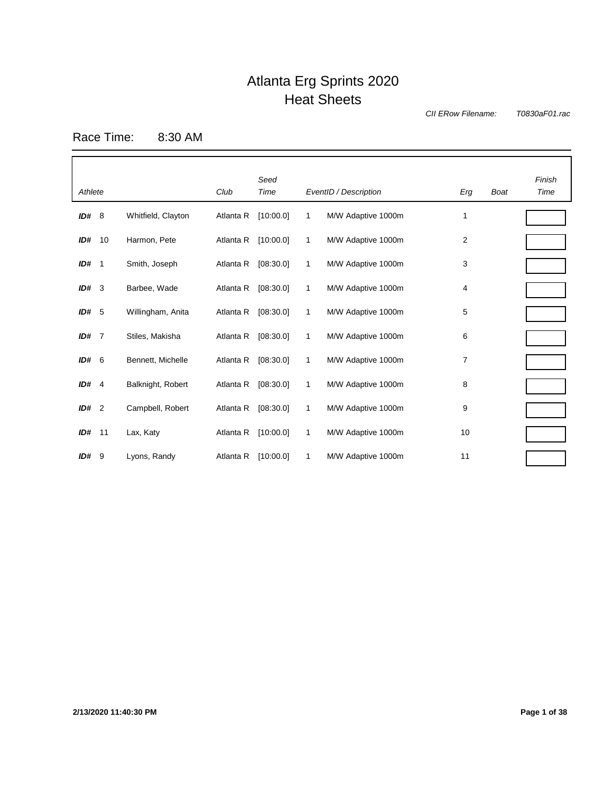*CII ERow Filename:*

*T0830aF01.rac*

Race Time: 8:30 AM

| Athlete |             |                    | Club      | Seed<br>Time |   | EventID / Description | Erg | <b>Boat</b> | Finish<br>Time |
|---------|-------------|--------------------|-----------|--------------|---|-----------------------|-----|-------------|----------------|
| ID# 8   |             | Whitfield, Clayton | Atlanta R | [10:00.0]    | 1 | M/W Adaptive 1000m    | 1   |             |                |
| ID#     | 10          | Harmon, Pete       | Atlanta R | [10:00.0]    | 1 | M/W Adaptive 1000m    | 2   |             |                |
| ID#     | $\mathbf 1$ | Smith, Joseph      | Atlanta R | [08:30.0]    | 1 | M/W Adaptive 1000m    | 3   |             |                |
| $ID#$ 3 |             | Barbee, Wade       | Atlanta R | [08:30.0]    | 1 | M/W Adaptive 1000m    | 4   |             |                |
| ID# 5   |             | Willingham, Anita  | Atlanta R | [08:30.0]    | 1 | M/W Adaptive 1000m    | 5   |             |                |
| ID# 7   |             | Stiles, Makisha    | Atlanta R | [08:30.0]    | 1 | M/W Adaptive 1000m    | 6   |             |                |
| ID# 6   |             | Bennett, Michelle  | Atlanta R | [08:30.0]    | 1 | M/W Adaptive 1000m    | 7   |             |                |
| ID# 4   |             | Balknight, Robert  | Atlanta R | [08:30.0]    | 1 | M/W Adaptive 1000m    | 8   |             |                |
| ID# 2   |             | Campbell, Robert   | Atlanta R | [08:30.0]    | 1 | M/W Adaptive 1000m    | 9   |             |                |
| ID#     | 11          | Lax, Katy          | Atlanta R | [10:00.0]    | 1 | M/W Adaptive 1000m    | 10  |             |                |
| ID#9    |             | Lyons, Randy       | Atlanta R | [10:00.0]    | 1 | M/W Adaptive 1000m    | 11  |             |                |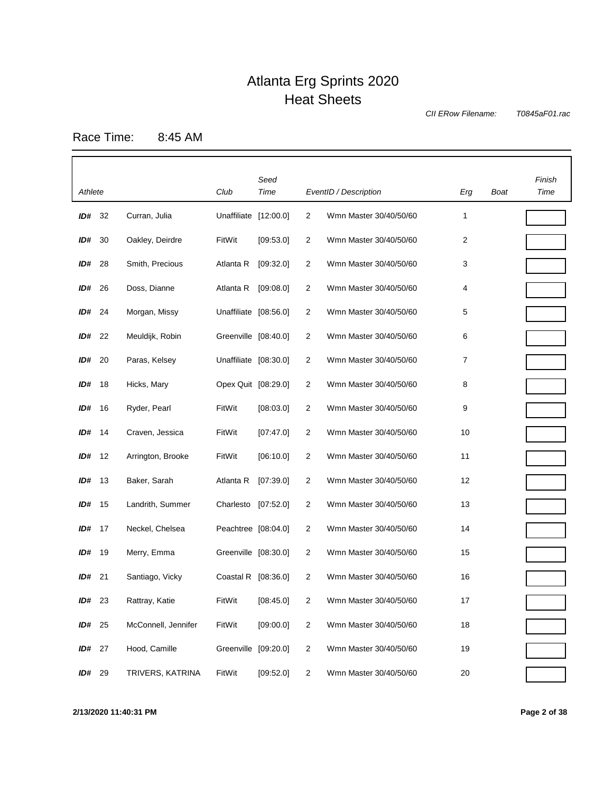*CII ERow Filename:*

*T0845aF01.rac*

Race Time: 8:45 AM

|         |    |                     |                       | Seed      |                |                        |     |      | Finish |
|---------|----|---------------------|-----------------------|-----------|----------------|------------------------|-----|------|--------|
| Athlete |    |                     | Club                  | Time      |                | EventID / Description  | Erg | Boat | Time   |
| ID#     | 32 | Curran, Julia       | Unaffiliate [12:00.0] |           | 2              | Wmn Master 30/40/50/60 | 1   |      |        |
| ID#     | 30 | Oakley, Deirdre     | FitWit                | [09:53.0] | 2              | Wmn Master 30/40/50/60 | 2   |      |        |
| ID#     | 28 | Smith, Precious     | Atlanta R             | [09:32.0] | 2              | Wmn Master 30/40/50/60 | 3   |      |        |
| ID#     | 26 | Doss, Dianne        | Atlanta R             | [09:08.0] | 2              | Wmn Master 30/40/50/60 | 4   |      |        |
| ID#     | 24 | Morgan, Missy       | Unaffiliate [08:56.0] |           | 2              | Wmn Master 30/40/50/60 | 5   |      |        |
| ID#     | 22 | Meuldijk, Robin     | Greenville [08:40.0]  |           | 2              | Wmn Master 30/40/50/60 | 6   |      |        |
| ID#     | 20 | Paras, Kelsey       | Unaffiliate [08:30.0] |           | 2              | Wmn Master 30/40/50/60 | 7   |      |        |
| ID#     | 18 | Hicks, Mary         | Opex Quit [08:29.0]   |           | 2              | Wmn Master 30/40/50/60 | 8   |      |        |
| ID#     | 16 | Ryder, Pearl        | FitWit                | [08:03.0] | 2              | Wmn Master 30/40/50/60 | 9   |      |        |
| ID#     | 14 | Craven, Jessica     | FitWit                | [07:47.0] | $\overline{2}$ | Wmn Master 30/40/50/60 | 10  |      |        |
| ID#     | 12 | Arrington, Brooke   | FitWit                | [06:10.0] | $\overline{2}$ | Wmn Master 30/40/50/60 | 11  |      |        |
| ID#     | 13 | Baker, Sarah        | Atlanta R             | [07:39.0] | 2              | Wmn Master 30/40/50/60 | 12  |      |        |
| ID#     | 15 | Landrith, Summer    | Charlesto             | [07:52.0] | 2              | Wmn Master 30/40/50/60 | 13  |      |        |
| ID#     | 17 | Neckel, Chelsea     | Peachtree [08:04.0]   |           | 2              | Wmn Master 30/40/50/60 | 14  |      |        |
| ID#     | 19 | Merry, Emma         | Greenville [08:30.0]  |           | 2              | Wmn Master 30/40/50/60 | 15  |      |        |
| ID#     | 21 | Santiago, Vicky     | Coastal R [08:36.0]   |           | $\overline{2}$ | Wmn Master 30/40/50/60 | 16  |      |        |
| ID#     | 23 | Rattray, Katie      | FitWit                | [08:45.0] | 2              | Wmn Master 30/40/50/60 | 17  |      |        |
| ID#     | 25 | McConnell, Jennifer | FitWit                | [09:00.0] | $\overline{2}$ | Wmn Master 30/40/50/60 | 18  |      |        |
| ID#     | 27 | Hood, Camille       | Greenville [09:20.0]  |           | $\overline{2}$ | Wmn Master 30/40/50/60 | 19  |      |        |
| ID#     | 29 | TRIVERS, KATRINA    | FitWit                | [09:52.0] | $\overline{2}$ | Wmn Master 30/40/50/60 | 20  |      |        |

**2/13/2020 11:40:31 PM Page 2 of 38**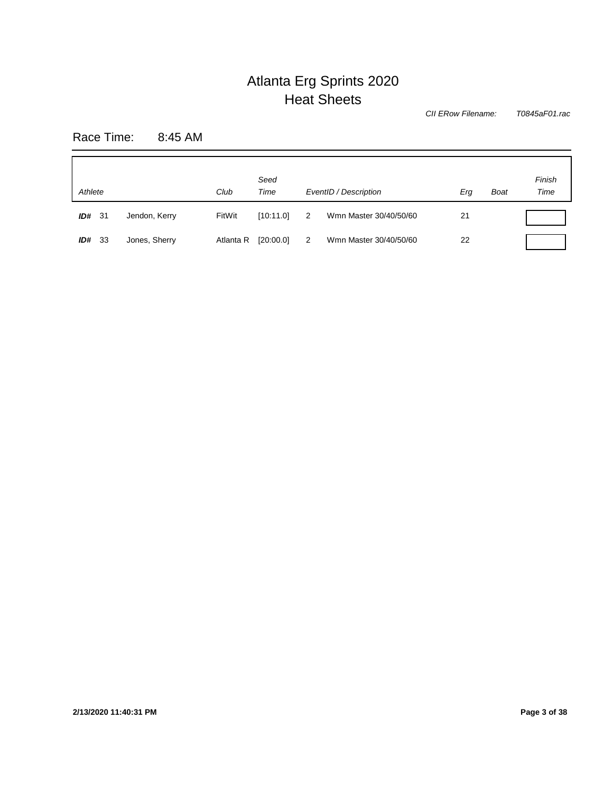*T0845aF01.rac CII ERow Filename:*

Race Time: 8:45 AM

| Athlete<br>Club |               | Seed<br>Time |           | EventID / Description | Erg                    | <b>Boat</b> | Finish<br>Time |  |
|-----------------|---------------|--------------|-----------|-----------------------|------------------------|-------------|----------------|--|
| ID#<br>-31      | Jendon, Kerry | FitWit       | [10:11.0] | 2                     | Wmn Master 30/40/50/60 | 21          |                |  |
| - 33<br>ID#     | Jones, Sherry | Atlanta R    | [20:00.0] | 2                     | Wmn Master 30/40/50/60 | 22          |                |  |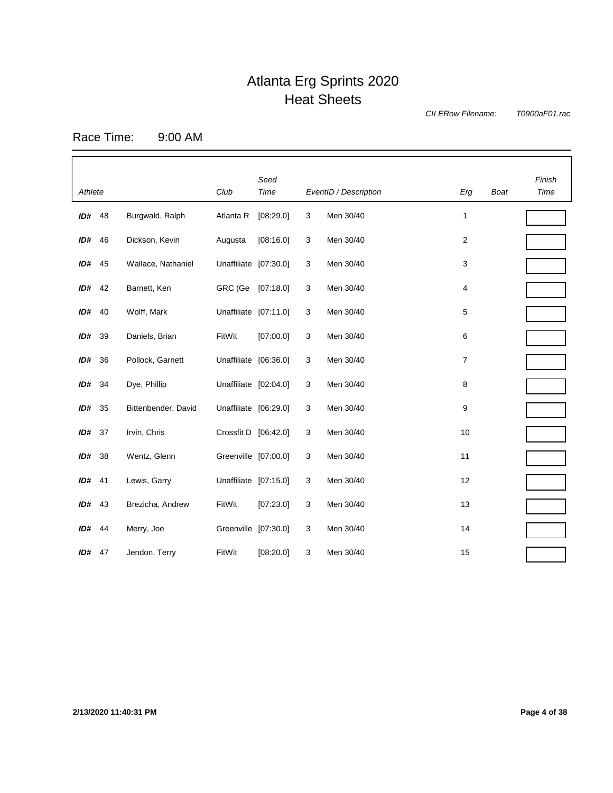*CII ERow Filename:*

*T0900aF01.rac*

Race Time: 9:00 AM

| Athlete  |      |                     | Club                  | Seed<br>Time |   | EventID / Description | Erg | <b>Boat</b> | Finish<br>Time |
|----------|------|---------------------|-----------------------|--------------|---|-----------------------|-----|-------------|----------------|
| ID# 48   |      | Burgwald, Ralph     | Atlanta R             | [08:29.0]    | 3 | Men 30/40             | 1   |             |                |
| ID#      | 46   | Dickson, Kevin      | Augusta               | [08:16.0]    | 3 | Men 30/40             | 2   |             |                |
| $ID#$ 45 |      | Wallace, Nathaniel  | Unaffiliate [07:30.0] |              | 3 | Men 30/40             | 3   |             |                |
| ID# 42   |      | Barnett, Ken        | GRC (Ge               | [07:18.0]    | 3 | Men 30/40             | 4   |             |                |
| ID#      | - 40 | Wolff, Mark         | Unaffiliate [07:11.0] |              | 3 | Men 30/40             | 5   |             |                |
| ID#      | 39   | Daniels, Brian      | FitWit                | [07:00.0]    | 3 | Men 30/40             | 6   |             |                |
| ID#      | 36   | Pollock, Garnett    | Unaffiliate [06:36.0] |              | 3 | Men 30/40             | 7   |             |                |
| $ID#$ 34 |      | Dye, Phillip        | Unaffiliate [02:04.0] |              | 3 | Men 30/40             | 8   |             |                |
| ID#      | 35   | Bittenbender, David | Unaffiliate [06:29.0] |              | 3 | Men 30/40             | 9   |             |                |
| ID#      | - 37 | Irvin, Chris        | Crossfit D [06:42.0]  |              | 3 | Men 30/40             | 10  |             |                |
| ID#      | 38   | Wentz, Glenn        | Greenville [07:00.0]  |              | 3 | Men 30/40             | 11  |             |                |
| $ID#$ 41 |      | Lewis, Garry        | Unaffiliate [07:15.0] |              | 3 | Men 30/40             | 12  |             |                |
| $ID#$ 43 |      | Brezicha, Andrew    | FitWit                | [07:23.0]    | 3 | Men 30/40             | 13  |             |                |
| ID# 44   |      | Merry, Joe          | Greenville [07:30.0]  |              | 3 | Men 30/40             | 14  |             |                |
| ID# 47   |      | Jendon, Terry       | FitWit                | [08:20.0]    | 3 | Men 30/40             | 15  |             |                |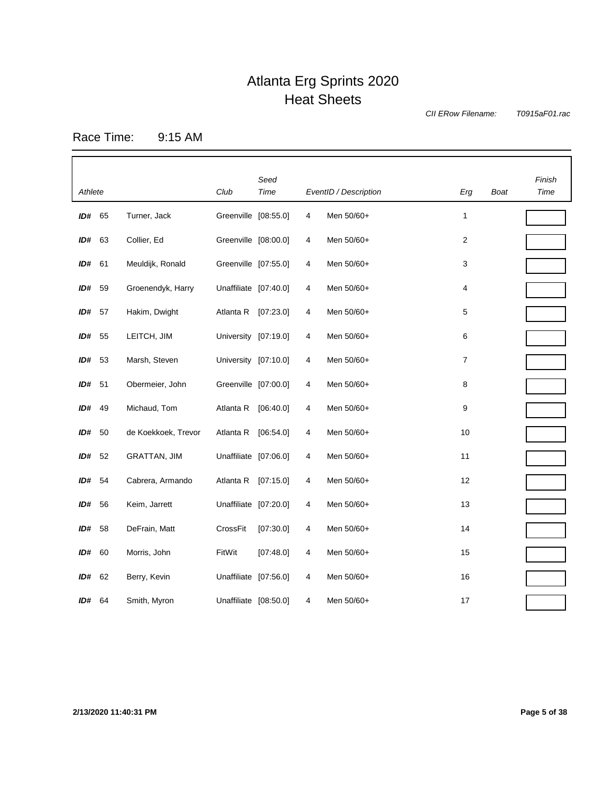*CII ERow Filename:*

*T0915aF01.rac*

Race Time: 9:15 AM

| Athlete       |      |                     | Club                  | Seed<br>Time |                | EventID / Description | Erg | Boat | Finish<br>Time |
|---------------|------|---------------------|-----------------------|--------------|----------------|-----------------------|-----|------|----------------|
| ID#           | 65   | Turner, Jack        | Greenville [08:55.0]  |              | 4              | Men 50/60+            | 1   |      |                |
| ID#           | 63   | Collier, Ed         | Greenville [08:00.0]  |              | 4              | Men 50/60+            | 2   |      |                |
| ID#           | 61   | Meuldijk, Ronald    | Greenville [07:55.0]  |              | 4              | Men 50/60+            | 3   |      |                |
| ID#           | 59   | Groenendyk, Harry   | Unaffiliate [07:40.0] |              | 4              | Men 50/60+            | 4   |      |                |
| ID#           | - 57 | Hakim, Dwight       | Atlanta R             | [07:23.0]    | 4              | Men 50/60+            | 5   |      |                |
| ID#           | 55   | LEITCH, JIM         | University [07:19.0]  |              | 4              | Men 50/60+            | 6   |      |                |
| ID#           | - 53 | Marsh, Steven       | University [07:10.0]  |              | 4              | Men 50/60+            | 7   |      |                |
| ID#           | 51   | Obermeier, John     | Greenville [07:00.0]  |              | 4              | Men 50/60+            | 8   |      |                |
| ID#           | 49   | Michaud, Tom        | Atlanta R             | [06:40.0]    | 4              | Men 50/60+            | 9   |      |                |
| ID#           | 50   | de Koekkoek, Trevor | Atlanta R             | [06:54.0]    | 4              | Men 50/60+            | 10  |      |                |
| ID# 52        |      | <b>GRATTAN, JIM</b> | Unaffiliate [07:06.0] |              | 4              | Men 50/60+            | 11  |      |                |
| ID# 54        |      | Cabrera, Armando    | Atlanta R             | [07:15.0]    | 4              | Men 50/60+            | 12  |      |                |
| ID#           | 56   | Keim, Jarrett       | Unaffiliate [07:20.0] |              | 4              | Men 50/60+            | 13  |      |                |
| ID#           | 58   | DeFrain, Matt       | CrossFit              | [07:30.0]    | 4              | Men 50/60+            | 14  |      |                |
| ID#           | 60   | Morris, John        | FitWit                | [07:48.0]    | 4              | Men 50/60+            | 15  |      |                |
| ID#           | 62   | Berry, Kevin        | Unaffiliate [07:56.0] |              | 4              | Men 50/60+            | 16  |      |                |
| <b>ID#</b> 64 |      | Smith, Myron        | Unaffiliate [08:50.0] |              | $\overline{4}$ | Men 50/60+            | 17  |      |                |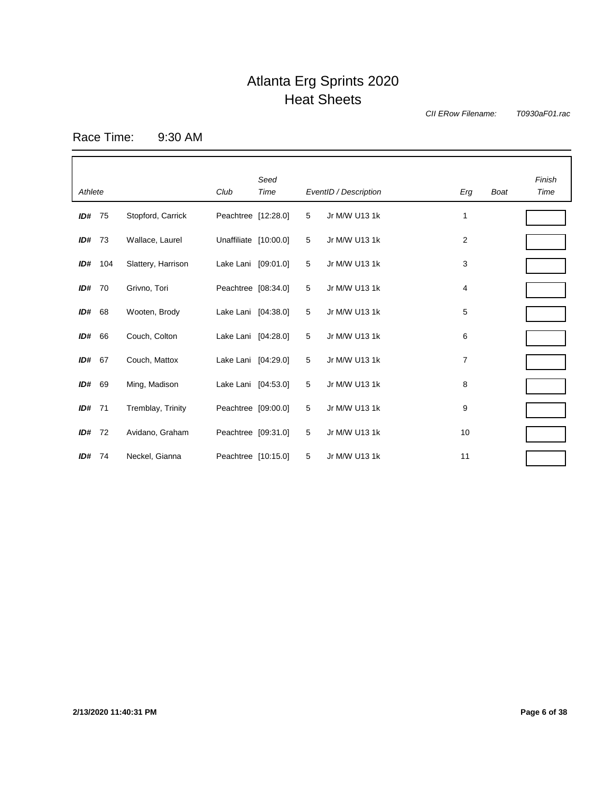*CII ERow Filename:*

*T0930aF01.rac*

Race Time: 9:30 AM

| Athlete  |      |                    | Club                  | Seed<br>Time |   | EventID / Description | Erg | <b>Boat</b> | Finish<br>Time |
|----------|------|--------------------|-----------------------|--------------|---|-----------------------|-----|-------------|----------------|
| $ID#$ 75 |      | Stopford, Carrick  | Peachtree [12:28.0]   |              | 5 | Jr M/W U13 1k         | 1   |             |                |
| ID#      | - 73 | Wallace, Laurel    | Unaffiliate [10:00.0] |              | 5 | Jr M/W U13 1k         | 2   |             |                |
| ID#      | 104  | Slattery, Harrison | Lake Lani [09:01.0]   |              | 5 | Jr M/W U13 1k         | 3   |             |                |
| ID#      | 70   | Grivno, Tori       | Peachtree [08:34.0]   |              | 5 | Jr M/W U13 1k         | 4   |             |                |
| ID#      | 68   | Wooten, Brody      | Lake Lani [04:38.0]   |              | 5 | Jr M/W U13 1k         | 5   |             |                |
| ID#      | 66   | Couch, Colton      | Lake Lani [04:28.0]   |              | 5 | Jr M/W U13 1k         | 6   |             |                |
| ID#      | 67   | Couch, Mattox      | Lake Lani [04:29.0]   |              | 5 | Jr M/W U13 1k         | 7   |             |                |
| ID#      | 69   | Ming, Madison      | Lake Lani [04:53.0]   |              | 5 | Jr M/W U13 1k         | 8   |             |                |
| ID#      | 71   | Tremblay, Trinity  | Peachtree [09:00.0]   |              | 5 | Jr M/W U13 1k         | 9   |             |                |
| ID#      | - 72 | Avidano, Graham    | Peachtree [09:31.0]   |              | 5 | Jr M/W U13 1k         | 10  |             |                |
| ID#      | -74  | Neckel, Gianna     | Peachtree [10:15.0]   |              | 5 | Jr M/W U13 1k         | 11  |             |                |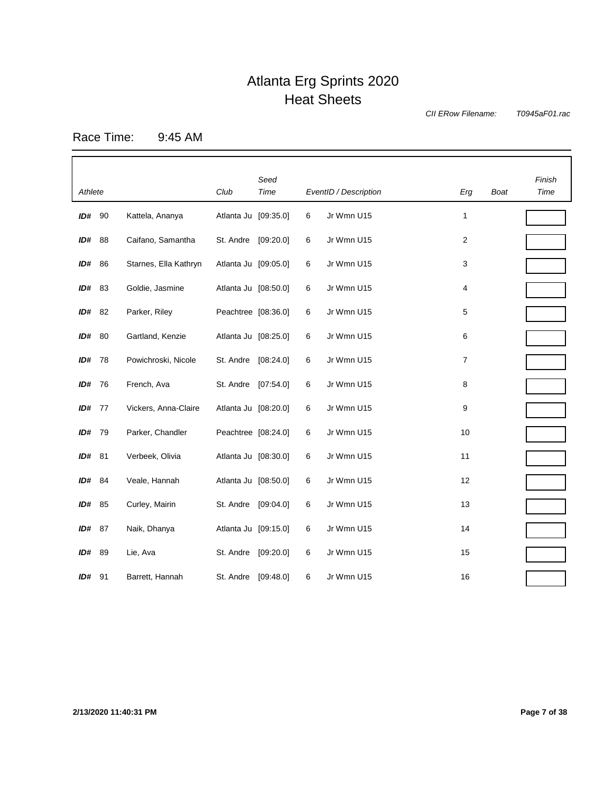*CII ERow Filename:*

*T0945aF01.rac*

Race Time: 9:45 AM

| Athlete       |      |                       | Club                 | Seed<br>Time |   | EventID / Description | Erg              | <b>Boat</b> | Finish<br>Time |
|---------------|------|-----------------------|----------------------|--------------|---|-----------------------|------------------|-------------|----------------|
| ID#           | 90   | Kattela, Ananya       | Atlanta Ju [09:35.0] |              | 6 | Jr Wmn U15            | 1                |             |                |
| ID#           | 88   | Caifano, Samantha     | St. Andre            | [09:20.0]    | 6 | Jr Wmn U15            | $\boldsymbol{2}$ |             |                |
| ID#           | 86   | Starnes, Ella Kathryn | Atlanta Ju [09:05.0] |              | 6 | Jr Wmn U15            | 3                |             |                |
| ID#           | 83   | Goldie, Jasmine       | Atlanta Ju [08:50.0] |              | 6 | Jr Wmn U15            | 4                |             |                |
| ID# 82        |      | Parker, Riley         | Peachtree [08:36.0]  |              | 6 | Jr Wmn U15            | 5                |             |                |
| ID# 80        |      | Gartland, Kenzie      | Atlanta Ju [08:25.0] |              | 6 | Jr Wmn U15            | 6                |             |                |
| ID#           | - 78 | Powichroski, Nicole   | St. Andre            | [08:24.0]    | 6 | Jr Wmn U15            | $\overline{7}$   |             |                |
| ID#           | - 76 | French, Ava           | St. Andre            | [07:54.0]    | 6 | Jr Wmn U15            | 8                |             |                |
| <b>ID#</b> 77 |      | Vickers, Anna-Claire  | Atlanta Ju [08:20.0] |              | 6 | Jr Wmn U15            | 9                |             |                |
| ID#           | 79   | Parker, Chandler      | Peachtree [08:24.0]  |              | 6 | Jr Wmn U15            | 10               |             |                |
| ID# 81        |      | Verbeek, Olivia       | Atlanta Ju [08:30.0] |              | 6 | Jr Wmn U15            | 11               |             |                |
| ID#           | - 84 | Veale, Hannah         | Atlanta Ju [08:50.0] |              | 6 | Jr Wmn U15            | 12               |             |                |
| ID#           | 85   | Curley, Mairin        | St. Andre            | [09:04.0]    | 6 | Jr Wmn U15            | 13               |             |                |
| ID#           | 87   | Naik, Dhanya          | Atlanta Ju [09:15.0] |              | 6 | Jr Wmn U15            | 14               |             |                |
| ID# 89        |      | Lie, Ava              | St. Andre            | [09:20.0]    | 6 | Jr Wmn U15            | 15               |             |                |
| $ID#$ 91      |      | Barrett, Hannah       | St. Andre            | [09:48.0]    | 6 | Jr Wmn U15            | 16               |             |                |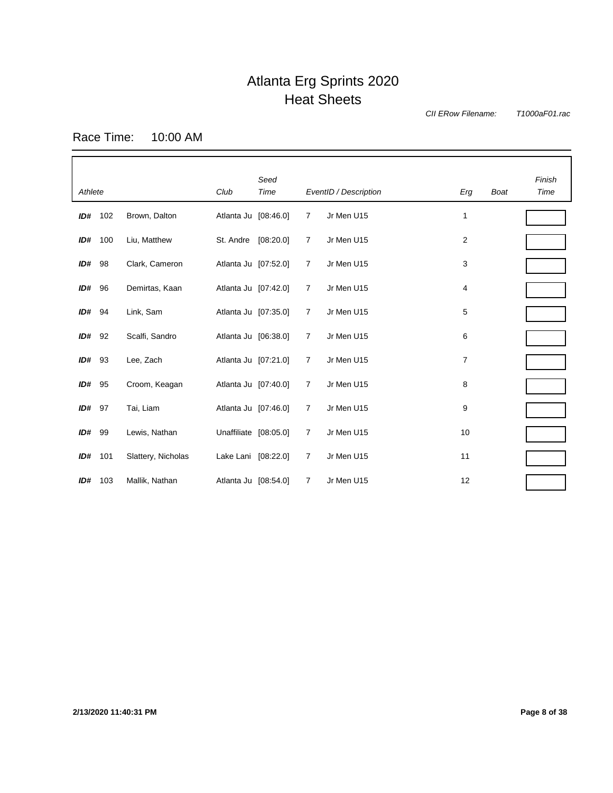*CII ERow Filename:*

*T1000aF01.rac*

Race Time: 10:00 AM

| Athlete  |      |                    | Club                  | Seed<br>Time |                | EventID / Description | Erg            | <b>Boat</b> | Finish<br>Time |
|----------|------|--------------------|-----------------------|--------------|----------------|-----------------------|----------------|-------------|----------------|
| ID#      | 102  | Brown, Dalton      | Atlanta Ju [08:46.0]  |              | 7              | Jr Men U15            | 1              |             |                |
| ID#      | 100  | Liu, Matthew       | St. Andre             | [08:20.0]    | $\overline{7}$ | Jr Men U15            | $\overline{c}$ |             |                |
| $ID#$ 98 |      | Clark, Cameron     | Atlanta Ju [07:52.0]  |              | $\overline{7}$ | Jr Men U15            | 3              |             |                |
| ID#      | 96   | Demirtas, Kaan     | Atlanta Ju [07:42.0]  |              | $\overline{7}$ | Jr Men U15            | 4              |             |                |
| ID#      | 94   | Link, Sam          | Atlanta Ju [07:35.0]  |              | 7              | Jr Men U15            | 5              |             |                |
| ID#      | 92   | Scalfi, Sandro     | Atlanta Ju [06:38.0]  |              | 7              | Jr Men U15            | 6              |             |                |
| ID#      | 93   | Lee, Zach          | Atlanta Ju [07:21.0]  |              | $\overline{7}$ | Jr Men U15            | $\overline{7}$ |             |                |
| ID#      | 95   | Croom, Keagan      | Atlanta Ju [07:40.0]  |              | 7              | Jr Men U15            | 8              |             |                |
| ID#      | 97   | Tai, Liam          | Atlanta Ju [07:46.0]  |              | 7              | Jr Men U15            | 9              |             |                |
| ID#      | - 99 | Lewis, Nathan      | Unaffiliate [08:05.0] |              | $\overline{7}$ | Jr Men U15            | 10             |             |                |
| ID#      | 101  | Slattery, Nicholas | Lake Lani [08:22.0]   |              | $\overline{7}$ | Jr Men U15            | 11             |             |                |
| ID#      | 103  | Mallik, Nathan     | Atlanta Ju [08:54.0]  |              | 7              | Jr Men U15            | 12             |             |                |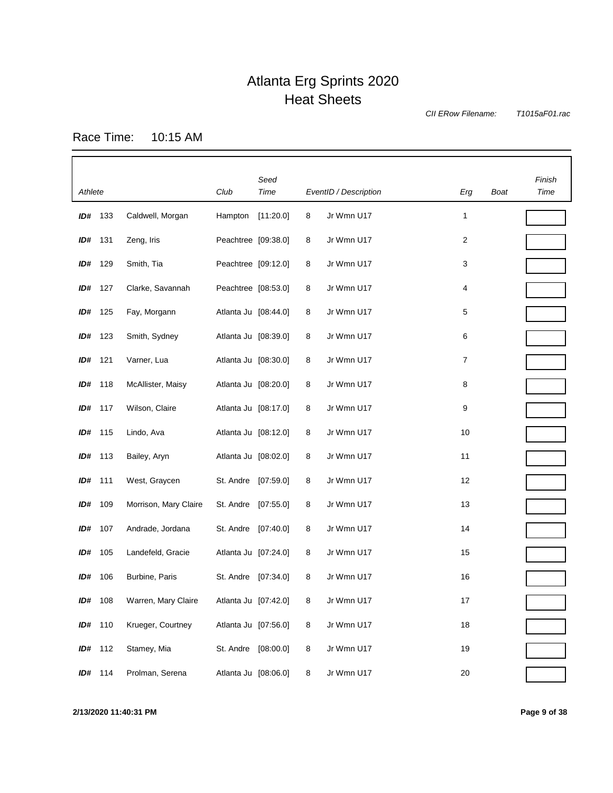*CII ERow Filename:*

*T1015aF01.rac*

Race Time: 10:15 AM

| Athlete |         |                       | Club                 | Seed<br>Time |   | EventID / Description | Erg | Boat | Finish<br>Time |
|---------|---------|-----------------------|----------------------|--------------|---|-----------------------|-----|------|----------------|
|         | ID# 133 | Caldwell, Morgan      | Hampton              | [11:20.0]    | 8 | Jr Wmn U17            | 1   |      |                |
| ID# 131 |         | Zeng, Iris            | Peachtree [09:38.0]  |              | 8 | Jr Wmn U17            | 2   |      |                |
|         | ID# 129 | Smith, Tia            | Peachtree [09:12.0]  |              | 8 | Jr Wmn U17            | 3   |      |                |
| ID#     | 127     | Clarke, Savannah      | Peachtree [08:53.0]  |              | 8 | Jr Wmn U17            | 4   |      |                |
| ID#     | 125     | Fay, Morgann          | Atlanta Ju [08:44.0] |              | 8 | Jr Wmn U17            | 5   |      |                |
|         | ID# 123 | Smith, Sydney         | Atlanta Ju [08:39.0] |              | 8 | Jr Wmn U17            | 6   |      |                |
| ID#     | 121     | Varner, Lua           | Atlanta Ju [08:30.0] |              | 8 | Jr Wmn U17            | 7   |      |                |
| ID#     | 118     | McAllister, Maisy     | Atlanta Ju [08:20.0] |              | 8 | Jr Wmn U17            | 8   |      |                |
|         | ID# 117 | Wilson, Claire        | Atlanta Ju [08:17.0] |              | 8 | Jr Wmn U17            | 9   |      |                |
| ID#     | 115     | Lindo, Ava            | Atlanta Ju [08:12.0] |              | 8 | Jr Wmn U17            | 10  |      |                |
|         | ID# 113 | Bailey, Aryn          | Atlanta Ju [08:02.0] |              | 8 | Jr Wmn U17            | 11  |      |                |
| ID# 111 |         | West, Graycen         | St. Andre            | [07:59.0]    | 8 | Jr Wmn U17            | 12  |      |                |
| ID#     | 109     | Morrison, Mary Claire | St. Andre            | [07:55.0]    | 8 | Jr Wmn U17            | 13  |      |                |
| ID#     | 107     | Andrade, Jordana      | St. Andre            | [07:40.0]    | 8 | Jr Wmn U17            | 14  |      |                |
| ID#     | 105     | Landefeld, Gracie     | Atlanta Ju [07:24.0] |              | 8 | Jr Wmn U17            | 15  |      |                |
| ID#     | 106     | Burbine, Paris        | St. Andre            | [07:34.0]    | 8 | Jr Wmn U17            | 16  |      |                |
| ID#     | 108     | Warren, Mary Claire   | Atlanta Ju [07:42.0] |              | 8 | Jr Wmn U17            | 17  |      |                |
|         | ID# 110 | Krueger, Courtney     | Atlanta Ju [07:56.0] |              | 8 | Jr Wmn U17            | 18  |      |                |
|         | ID# 112 | Stamey, Mia           | St. Andre [08:00.0]  |              | 8 | Jr Wmn U17            | 19  |      |                |
|         | ID# 114 | Prolman, Serena       | Atlanta Ju [08:06.0] |              | 8 | Jr Wmn U17            | 20  |      |                |

**2/13/2020 11:40:31 PM Page 9 of 38**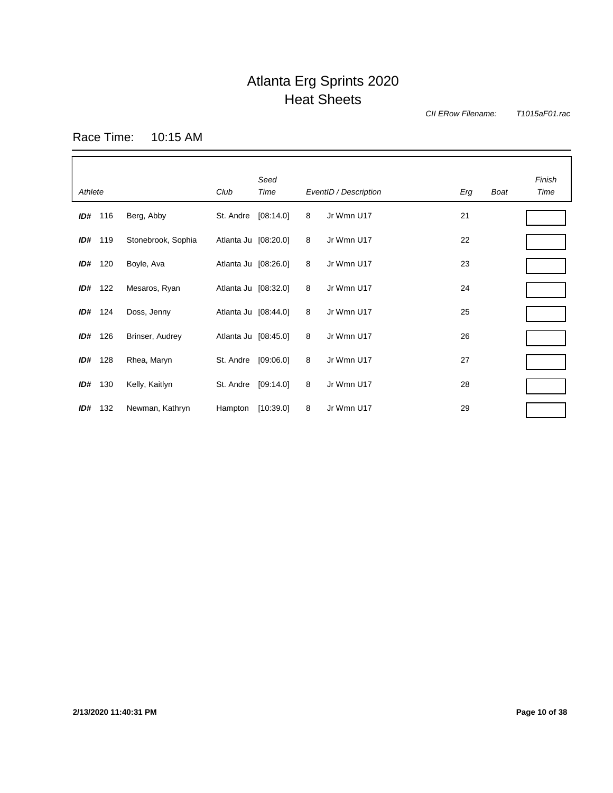*CII ERow Filename:*

*T1015aF01.rac*

Race Time: 10:15 AM

| Athlete |         |                    | Club                 | Seed<br>Time |   | EventID / Description | Erg | Boat | Finish<br>Time |
|---------|---------|--------------------|----------------------|--------------|---|-----------------------|-----|------|----------------|
|         | ID# 116 | Berg, Abby         | St. Andre            | [08:14.0]    | 8 | Jr Wmn U17            | 21  |      |                |
| ID#     | 119     | Stonebrook, Sophia | Atlanta Ju [08:20.0] |              | 8 | Jr Wmn U17            | 22  |      |                |
| ID#     | 120     | Boyle, Ava         | Atlanta Ju [08:26.0] |              | 8 | Jr Wmn U17            | 23  |      |                |
| ID#     | 122     | Mesaros, Ryan      | Atlanta Ju [08:32.0] |              | 8 | Jr Wmn U17            | 24  |      |                |
| ID#     | 124     | Doss, Jenny        | Atlanta Ju [08:44.0] |              | 8 | Jr Wmn U17            | 25  |      |                |
| ID#     | 126     | Brinser, Audrey    | Atlanta Ju [08:45.0] |              | 8 | Jr Wmn U17            | 26  |      |                |
| ID#     | 128     | Rhea, Maryn        | St. Andre            | [09:06.0]    | 8 | Jr Wmn U17            | 27  |      |                |
| ID#     | 130     | Kelly, Kaitlyn     | St. Andre            | [09:14.0]    | 8 | Jr Wmn U17            | 28  |      |                |
| ID#     | 132     | Newman, Kathryn    | Hampton              | [10:39.0]    | 8 | Jr Wmn U17            | 29  |      |                |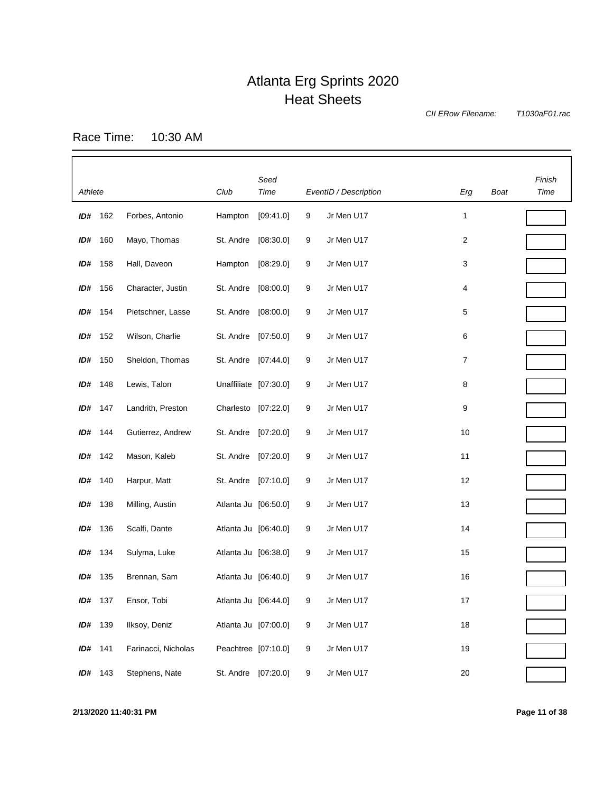*CII ERow Filename:*

*T1030aF01.rac*

Race Time: 10:30 AM

|         |         |                     |                       | Seed                |   |                       |        |      | Finish |
|---------|---------|---------------------|-----------------------|---------------------|---|-----------------------|--------|------|--------|
| Athlete |         |                     | Club                  | Time                |   | EventID / Description | Erg    | Boat | Time   |
| ID#     | 162     | Forbes, Antonio     | Hampton               | [09:41.0]           | 9 | Jr Men U17            | 1      |      |        |
| ID#     | 160     | Mayo, Thomas        | St. Andre             | [08:30.0]           | 9 | Jr Men U17            | 2      |      |        |
| ID#     | 158     | Hall, Daveon        | Hampton               | [08:29.0]           | 9 | Jr Men U17            | 3      |      |        |
| ID#     | 156     | Character, Justin   | St. Andre             | [08:00.0]           | 9 | Jr Men U17            | 4      |      |        |
| ID#     | 154     | Pietschner, Lasse   | St. Andre             | [08:00.0]           | 9 | Jr Men U17            | 5      |      |        |
| ID#     | 152     | Wilson, Charlie     | St. Andre             | [07:50.0]           | 9 | Jr Men U17            | 6      |      |        |
| ID#     | 150     | Sheldon, Thomas     | St. Andre             | [07:44.0]           | 9 | Jr Men U17            | 7      |      |        |
|         | ID# 148 | Lewis, Talon        | Unaffiliate [07:30.0] |                     | 9 | Jr Men U17            | 8      |      |        |
| ID# 147 |         | Landrith, Preston   | Charlesto             | [07:22.0]           | 9 | Jr Men U17            | 9      |      |        |
|         | ID# 144 | Gutierrez, Andrew   | St. Andre             | [07:20.0]           | 9 | Jr Men U17            | 10     |      |        |
|         | ID# 142 | Mason, Kaleb        | St. Andre             | [07:20.0]           | 9 | Jr Men U17            | 11     |      |        |
| ID#     | 140     | Harpur, Matt        | St. Andre             | [07:10.0]           | 9 | Jr Men U17            | 12     |      |        |
| ID#     | 138     | Milling, Austin     | Atlanta Ju [06:50.0]  |                     | 9 | Jr Men U17            | 13     |      |        |
| ID#     | 136     | Scalfi, Dante       | Atlanta Ju [06:40.0]  |                     | 9 | Jr Men U17            | 14     |      |        |
| ID# 134 |         | Sulyma, Luke        | Atlanta Ju [06:38.0]  |                     | 9 | Jr Men U17            | 15     |      |        |
|         | ID# 135 | Brennan, Sam        | Atlanta Ju [06:40.0]  |                     | 9 | Jr Men U17            | 16     |      |        |
| ID#     | 137     | Ensor, Tobi         | Atlanta Ju [06:44.0]  |                     | 9 | Jr Men U17            | 17     |      |        |
| ID#     | 139     | Ilksoy, Deniz       | Atlanta Ju [07:00.0]  |                     | 9 | Jr Men U17            | 18     |      |        |
| ID# 141 |         | Farinacci, Nicholas |                       | Peachtree [07:10.0] | 9 | Jr Men U17            | 19     |      |        |
|         | ID# 143 | Stephens, Nate      |                       | St. Andre [07:20.0] | 9 | Jr Men U17            | $20\,$ |      |        |

**2/13/2020 11:40:31 PM Page 11 of 38**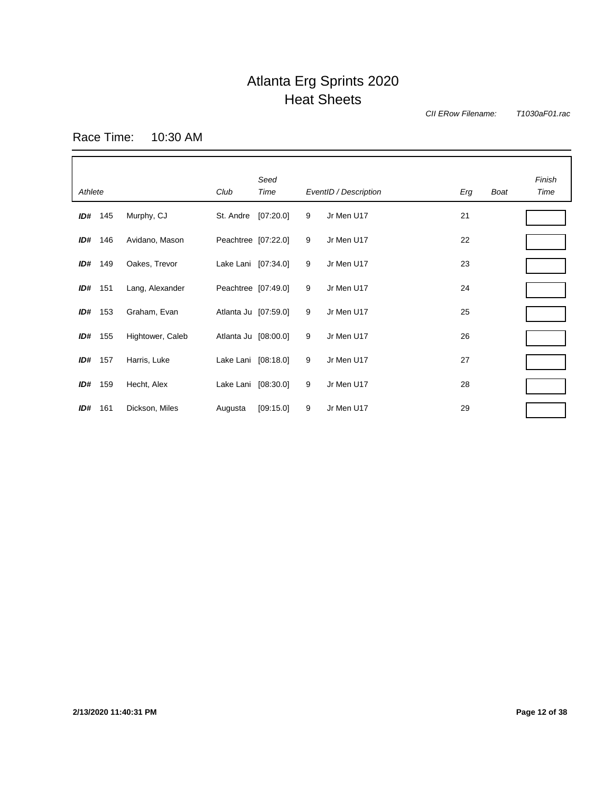*CII ERow Filename:*

*T1030aF01.rac*

Race Time: 10:30 AM

| Athlete |     |                  | Club                 | Seed<br>Time |   | EventID / Description | Erg | <b>Boat</b> | Finish<br>Time |
|---------|-----|------------------|----------------------|--------------|---|-----------------------|-----|-------------|----------------|
| ID#     | 145 | Murphy, CJ       | St. Andre            | [07:20.0]    | 9 | Jr Men U17            | 21  |             |                |
| ID#     | 146 | Avidano, Mason   | Peachtree [07:22.0]  |              | 9 | Jr Men U17            | 22  |             |                |
| ID#     | 149 | Oakes, Trevor    | Lake Lani [07:34.0]  |              | 9 | Jr Men U17            | 23  |             |                |
| ID#     | 151 | Lang, Alexander  | Peachtree [07:49.0]  |              | 9 | Jr Men U17            | 24  |             |                |
| ID#     | 153 | Graham, Evan     | Atlanta Ju [07:59.0] |              | 9 | Jr Men U17            | 25  |             |                |
| ID#     | 155 | Hightower, Caleb | Atlanta Ju [08:00.0] |              | 9 | Jr Men U17            | 26  |             |                |
| ID#     | 157 | Harris, Luke     | Lake Lani [08:18.0]  |              | 9 | Jr Men U17            | 27  |             |                |
| ID#     | 159 | Hecht, Alex      | Lake Lani [08:30.0]  |              | 9 | Jr Men U17            | 28  |             |                |
| ID#     | 161 | Dickson, Miles   | Augusta              | [09:15.0]    | 9 | Jr Men U17            | 29  |             |                |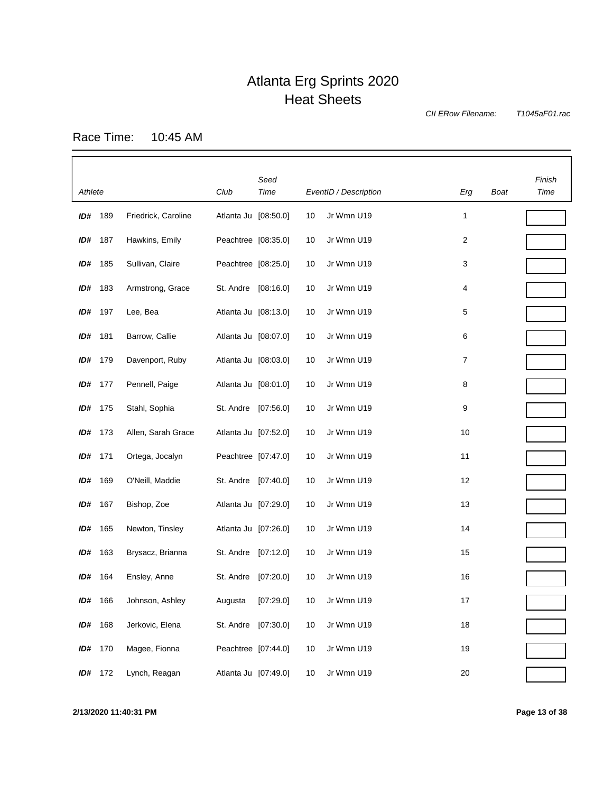*CII ERow Filename:*

*T1045aF01.rac*

Race Time: 10:45 AM

| Athlete |         |                     | Club                 | Seed<br>Time |    | EventID / Description | Erg | Boat | Finish<br>Time |
|---------|---------|---------------------|----------------------|--------------|----|-----------------------|-----|------|----------------|
| ID#     | 189     | Friedrick, Caroline | Atlanta Ju [08:50.0] |              | 10 | Jr Wmn U19            | 1   |      |                |
| ID#     | 187     | Hawkins, Emily      | Peachtree [08:35.0]  |              | 10 | Jr Wmn U19            | 2   |      |                |
| ID#     | 185     | Sullivan, Claire    | Peachtree [08:25.0]  |              | 10 | Jr Wmn U19            | 3   |      |                |
| ID#     | 183     | Armstrong, Grace    | St. Andre            | [08:16.0]    | 10 | Jr Wmn U19            | 4   |      |                |
| ID#     | 197     | Lee, Bea            | Atlanta Ju [08:13.0] |              | 10 | Jr Wmn U19            | 5   |      |                |
| ID#     | 181     | Barrow, Callie      | Atlanta Ju [08:07.0] |              | 10 | Jr Wmn U19            | 6   |      |                |
| ID#     | 179     | Davenport, Ruby     | Atlanta Ju [08:03.0] |              | 10 | Jr Wmn U19            | 7   |      |                |
| ID#     | 177     | Pennell, Paige      | Atlanta Ju [08:01.0] |              | 10 | Jr Wmn U19            | 8   |      |                |
| ID#     | 175     | Stahl, Sophia       | St. Andre [07:56.0]  |              | 10 | Jr Wmn U19            | 9   |      |                |
| ID#     | 173     | Allen, Sarah Grace  | Atlanta Ju [07:52.0] |              | 10 | Jr Wmn U19            | 10  |      |                |
| ID#     | 171     | Ortega, Jocalyn     | Peachtree [07:47.0]  |              | 10 | Jr Wmn U19            | 11  |      |                |
| ID#     | 169     | O'Neill, Maddie     | St. Andre [07:40.0]  |              | 10 | Jr Wmn U19            | 12  |      |                |
| ID#     | 167     | Bishop, Zoe         | Atlanta Ju [07:29.0] |              | 10 | Jr Wmn U19            | 13  |      |                |
| ID#     | 165     | Newton, Tinsley     | Atlanta Ju [07:26.0] |              | 10 | Jr Wmn U19            | 14  |      |                |
| ID#     | 163     | Brysacz, Brianna    | St. Andre [07:12.0]  |              | 10 | Jr Wmn U19            | 15  |      |                |
| ID#     | 164     | Ensley, Anne        | St. Andre            | [07:20.0]    | 10 | Jr Wmn U19            | 16  |      |                |
| ID#     | 166     | Johnson, Ashley     | Augusta              | [07:29.0]    | 10 | Jr Wmn U19            | 17  |      |                |
| ID#     | 168     | Jerkovic, Elena     | St. Andre [07:30.0]  |              | 10 | Jr Wmn U19            | 18  |      |                |
| ID#     | 170     | Magee, Fionna       | Peachtree [07:44.0]  |              | 10 | Jr Wmn U19            | 19  |      |                |
|         | ID# 172 | Lynch, Reagan       | Atlanta Ju [07:49.0] |              | 10 | Jr Wmn U19            | 20  |      |                |

**2/13/2020 11:40:31 PM Page 13 of 38**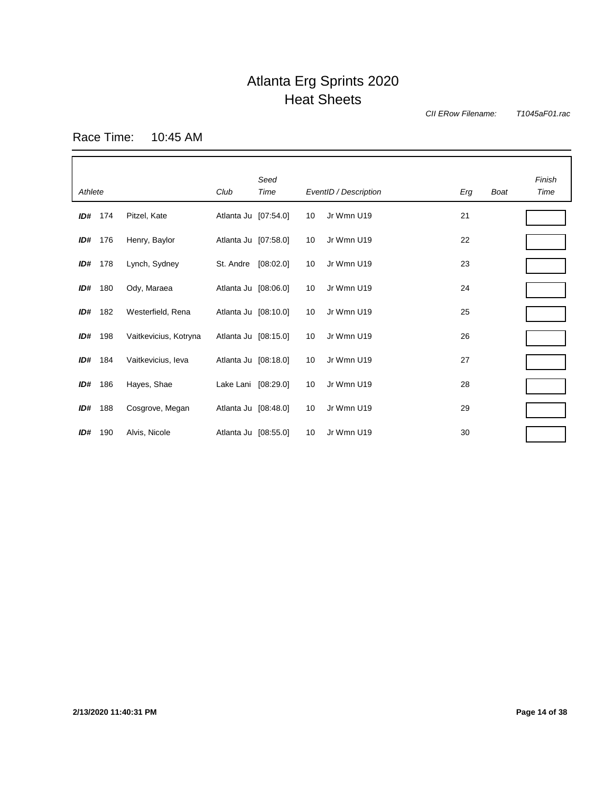*CII ERow Filename:*

*T1045aF01.rac*

Race Time: 10:45 AM

| Athlete |     |                       | Club                 | Seed<br>Time |    | EventID / Description | Erg | <b>Boat</b> | Finish<br>Time |
|---------|-----|-----------------------|----------------------|--------------|----|-----------------------|-----|-------------|----------------|
| ID#     | 174 | Pitzel, Kate          | Atlanta Ju [07:54.0] |              | 10 | Jr Wmn U19            | 21  |             |                |
| ID#     | 176 | Henry, Baylor         | Atlanta Ju [07:58.0] |              | 10 | Jr Wmn U19            | 22  |             |                |
| ID#     | 178 | Lynch, Sydney         | St. Andre            | [08:02.0]    | 10 | Jr Wmn U19            | 23  |             |                |
| ID#     | 180 | Ody, Maraea           | Atlanta Ju [08:06.0] |              | 10 | Jr Wmn U19            | 24  |             |                |
| ID#     | 182 | Westerfield, Rena     | Atlanta Ju [08:10.0] |              | 10 | Jr Wmn U19            | 25  |             |                |
| ID#     | 198 | Vaitkevicius, Kotryna | Atlanta Ju [08:15.0] |              | 10 | Jr Wmn U19            | 26  |             |                |
| ID#     | 184 | Vaitkevicius, Ieva    | Atlanta Ju [08:18.0] |              | 10 | Jr Wmn U19            | 27  |             |                |
| ID#     | 186 | Hayes, Shae           | Lake Lani [08:29.0]  |              | 10 | Jr Wmn U19            | 28  |             |                |
| ID#     | 188 | Cosgrove, Megan       | Atlanta Ju [08:48.0] |              | 10 | Jr Wmn U19            | 29  |             |                |
| ID#     | 190 | Alvis, Nicole         | Atlanta Ju [08:55.0] |              | 10 | Jr Wmn U19            | 30  |             |                |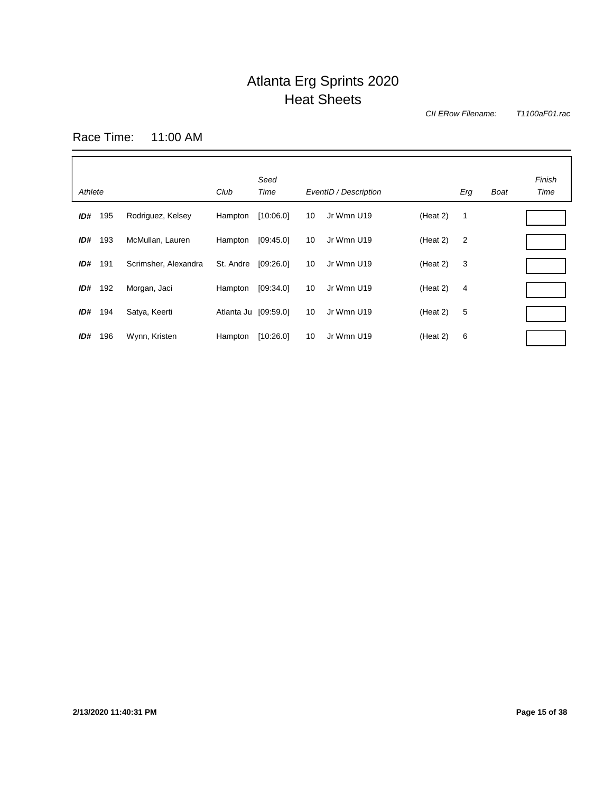*CII ERow Filename:*

*T1100aF01.rac*

Race Time: 11:00 AM

| Athlete |     |                      | Club                 | Seed<br>Time |    | EventID / Description |          | Erg            | <b>Boat</b> | Finish<br>Time |
|---------|-----|----------------------|----------------------|--------------|----|-----------------------|----------|----------------|-------------|----------------|
| ID#     | 195 | Rodriguez, Kelsey    | Hampton              | [10:06.0]    | 10 | Jr Wmn U19            | (Heat 2) | $\mathbf 1$    |             |                |
| ID#     | 193 | McMullan, Lauren     | Hampton              | [09.45.0]    | 10 | Jr Wmn U19            | (Heat 2) | $\overline{2}$ |             |                |
| ID#     | 191 | Scrimsher, Alexandra | St. Andre            | [09:26.0]    | 10 | Jr Wmn U19            | (Heat 2) | 3              |             |                |
| ID#     | 192 | Morgan, Jaci         | Hampton              | [09:34.0]    | 10 | Jr Wmn U19            | (Heat 2) | 4              |             |                |
| ID#     | 194 | Satya, Keerti        | Atlanta Ju [09:59.0] |              | 10 | Jr Wmn U19            | (Heat 2) | 5              |             |                |
| ID#     | 196 | Wynn, Kristen        | Hampton              | [10:26.0]    | 10 | Jr Wmn U19            | (Heat 2) | 6              |             |                |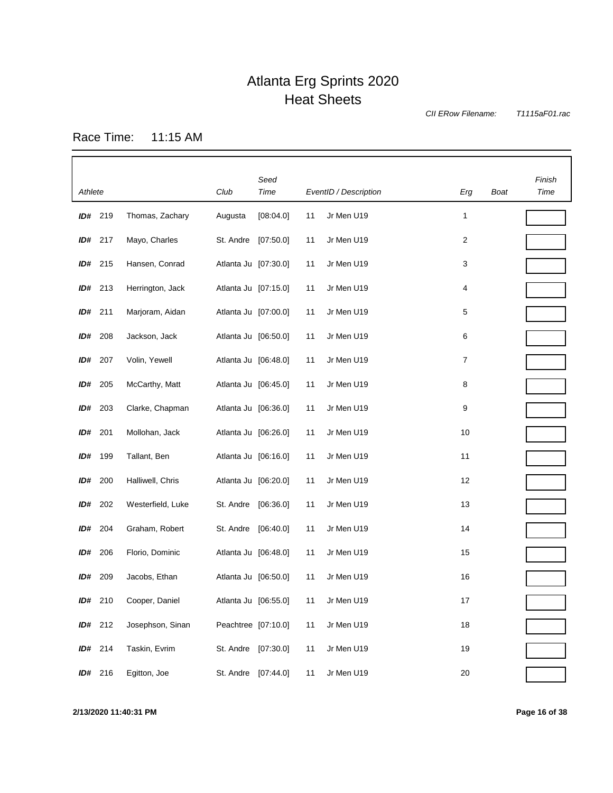*CII ERow Filename:*

*T1115aF01.rac*

Race Time: 11:15 AM

|         |                |                   |                      | Seed      |    |                       |        |      | Finish |
|---------|----------------|-------------------|----------------------|-----------|----|-----------------------|--------|------|--------|
| Athlete |                |                   | Club                 | Time      |    | EventID / Description | Erg    | Boat | Time   |
|         | ID# 219        | Thomas, Zachary   | Augusta              | [08:04.0] | 11 | Jr Men U19            | 1      |      |        |
|         | ID# 217        | Mayo, Charles     | St. Andre            | [07:50.0] | 11 | Jr Men U19            | 2      |      |        |
|         | ID# 215        | Hansen, Conrad    | Atlanta Ju [07:30.0] |           | 11 | Jr Men U19            | 3      |      |        |
|         | ID# 213        | Herrington, Jack  | Atlanta Ju [07:15.0] |           | 11 | Jr Men U19            | 4      |      |        |
|         | ID# 211        | Marjoram, Aidan   | Atlanta Ju [07:00.0] |           | 11 | Jr Men U19            | 5      |      |        |
| ID#     | 208            | Jackson, Jack     | Atlanta Ju [06:50.0] |           | 11 | Jr Men U19            | 6      |      |        |
| ID#     | 207            | Volin, Yewell     | Atlanta Ju [06:48.0] |           | 11 | Jr Men U19            | 7      |      |        |
| ID#     | 205            | McCarthy, Matt    | Atlanta Ju [06:45.0] |           | 11 | Jr Men U19            | 8      |      |        |
| ID#     | 203            | Clarke, Chapman   | Atlanta Ju [06:36.0] |           | 11 | Jr Men U19            | 9      |      |        |
| ID#     | 201            | Mollohan, Jack    | Atlanta Ju [06:26.0] |           | 11 | Jr Men U19            | 10     |      |        |
| ID#     | 199            | Tallant, Ben      | Atlanta Ju [06:16.0] |           | 11 | Jr Men U19            | 11     |      |        |
| ID#     | 200            | Halliwell, Chris  | Atlanta Ju [06:20.0] |           | 11 | Jr Men U19            | 12     |      |        |
| ID#     | 202            | Westerfield, Luke | St. Andre            | [06:36.0] | 11 | Jr Men U19            | 13     |      |        |
| ID#     | 204            | Graham, Robert    | St. Andre            | [06:40.0] | 11 | Jr Men U19            | 14     |      |        |
| ID#     | 206            | Florio, Dominic   | Atlanta Ju [06:48.0] |           | 11 | Jr Men U19            | 15     |      |        |
| ID#     | 209            | Jacobs, Ethan     | Atlanta Ju [06:50.0] |           | 11 | Jr Men U19            | 16     |      |        |
| ID#     | 210            | Cooper, Daniel    | Atlanta Ju [06:55.0] |           | 11 | Jr Men U19            | 17     |      |        |
|         | $ID#$ 212      | Josephson, Sinan  | Peachtree [07:10.0]  |           | 11 | Jr Men U19            | 18     |      |        |
|         | ID# 214        | Taskin, Evrim     | St. Andre [07:30.0]  |           | 11 | Jr Men U19            | 19     |      |        |
|         | <b>ID#</b> 216 | Egitton, Joe      | St. Andre [07:44.0]  |           | 11 | Jr Men U19            | $20\,$ |      |        |

**2/13/2020 11:40:31 PM Page 16 of 38**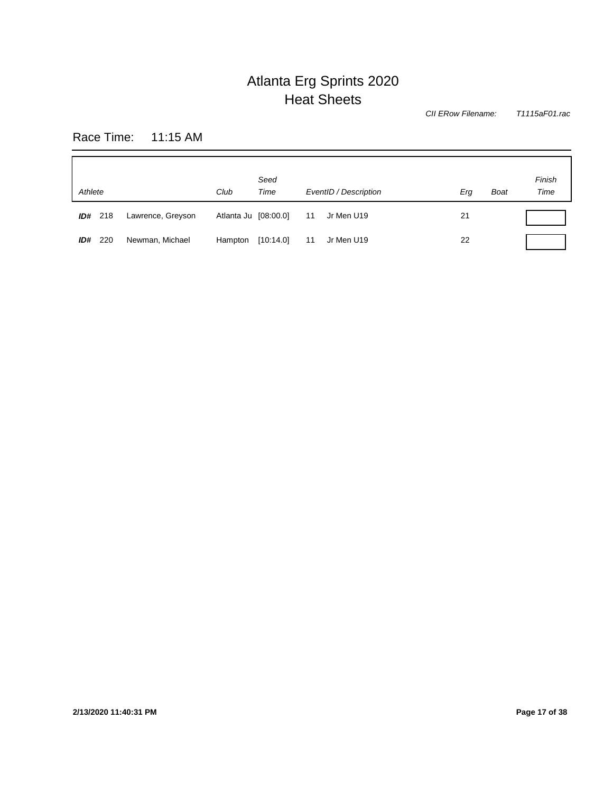*T1115aF01.rac CII ERow Filename:*

Race Time: 11:15 AM

| Athlete    |                   | Club                 | Seed<br>Time |    | EventID / Description | Erg | <b>Boat</b> | Finish<br>Time |
|------------|-------------------|----------------------|--------------|----|-----------------------|-----|-------------|----------------|
| ID# 218    | Lawrence, Greyson | Atlanta Ju [08:00.0] |              | 11 | Jr Men U19            | 21  |             |                |
| 220<br>ID# | Newman, Michael   | Hampton              | [10:14.0]    | 11 | Jr Men U19            | 22  |             |                |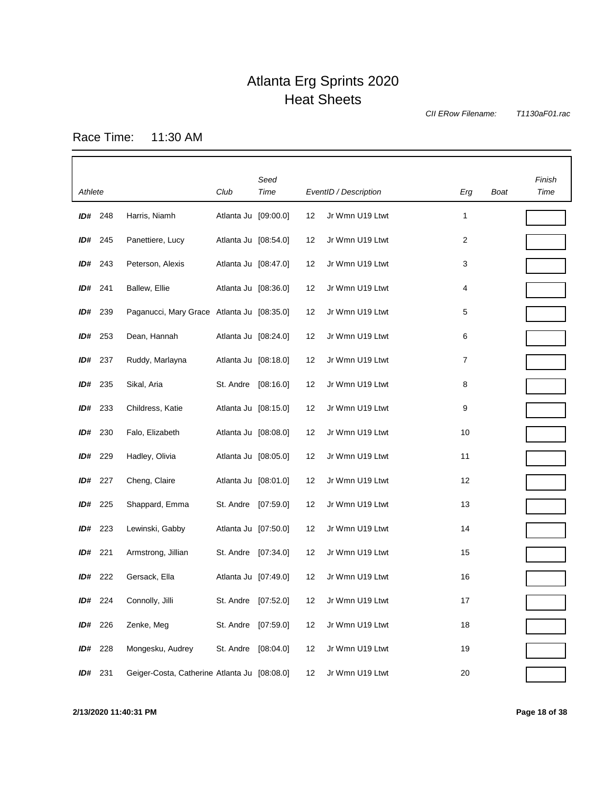*CII ERow Filename:*

*T1130aF01.rac*

Race Time: 11:30 AM

| Athlete |         |                                              | Club                 | Seed<br>Time |    | EventID / Description | Erg            | Boat | Finish<br>Time |
|---------|---------|----------------------------------------------|----------------------|--------------|----|-----------------------|----------------|------|----------------|
|         | ID# 248 | Harris, Niamh                                | Atlanta Ju [09:00.0] |              | 12 | Jr Wmn U19 Ltwt       | 1              |      |                |
|         | ID# 245 | Panettiere, Lucy                             | Atlanta Ju [08:54.0] |              | 12 | Jr Wmn U19 Ltwt       | $\overline{2}$ |      |                |
|         | ID# 243 | Peterson, Alexis                             | Atlanta Ju [08:47.0] |              | 12 | Jr Wmn U19 Ltwt       | 3              |      |                |
|         | ID# 241 | Ballew, Ellie                                | Atlanta Ju [08:36.0] |              | 12 | Jr Wmn U19 Ltwt       | 4              |      |                |
| ID#     | 239     | Paganucci, Mary Grace Atlanta Ju [08:35.0]   |                      |              | 12 | Jr Wmn U19 Ltwt       | 5              |      |                |
| ID#     | 253     | Dean, Hannah                                 | Atlanta Ju [08:24.0] |              | 12 | Jr Wmn U19 Ltwt       | 6              |      |                |
| ID#     | 237     | Ruddy, Marlayna                              | Atlanta Ju [08:18.0] |              | 12 | Jr Wmn U19 Ltwt       | $\overline{7}$ |      |                |
| ID#     | 235     | Sikal, Aria                                  | St. Andre [08:16.0]  |              | 12 | Jr Wmn U19 Ltwt       | 8              |      |                |
| ID#     | 233     | Childress, Katie                             | Atlanta Ju [08:15.0] |              | 12 | Jr Wmn U19 Ltwt       | 9              |      |                |
| ID#     | 230     | Falo, Elizabeth                              | Atlanta Ju [08:08.0] |              | 12 | Jr Wmn U19 Ltwt       | 10             |      |                |
| ID#     | 229     | Hadley, Olivia                               | Atlanta Ju [08:05.0] |              | 12 | Jr Wmn U19 Ltwt       | 11             |      |                |
| ID#     | 227     | Cheng, Claire                                | Atlanta Ju [08:01.0] |              | 12 | Jr Wmn U19 Ltwt       | 12             |      |                |
| ID#     | 225     | Shappard, Emma                               | St. Andre [07:59.0]  |              | 12 | Jr Wmn U19 Ltwt       | 13             |      |                |
| ID#     | 223     | Lewinski, Gabby                              | Atlanta Ju [07:50.0] |              | 12 | Jr Wmn U19 Ltwt       | 14             |      |                |
| ID#     | 221     | Armstrong, Jillian                           | St. Andre [07:34.0]  |              | 12 | Jr Wmn U19 Ltwt       | 15             |      |                |
| ID#     | 222     | Gersack, Ella                                | Atlanta Ju [07:49.0] |              | 12 | Jr Wmn U19 Ltwt       | 16             |      |                |
| ID#     | 224     | Connolly, Jilli                              | St. Andre            | [07:52.0]    | 12 | Jr Wmn U19 Ltwt       | 17             |      |                |
| ID#     | 226     | Zenke, Meg                                   | St. Andre [07:59.0]  |              | 12 | Jr Wmn U19 Ltwt       | 18             |      |                |
| ID#     | 228     | Mongesku, Audrey                             | St. Andre [08:04.0]  |              | 12 | Jr Wmn U19 Ltwt       | 19             |      |                |
| ID#     | 231     | Geiger-Costa, Catherine Atlanta Ju [08:08.0] |                      |              | 12 | Jr Wmn U19 Ltwt       | 20             |      |                |

**2/13/2020 11:40:31 PM Page 18 of 38**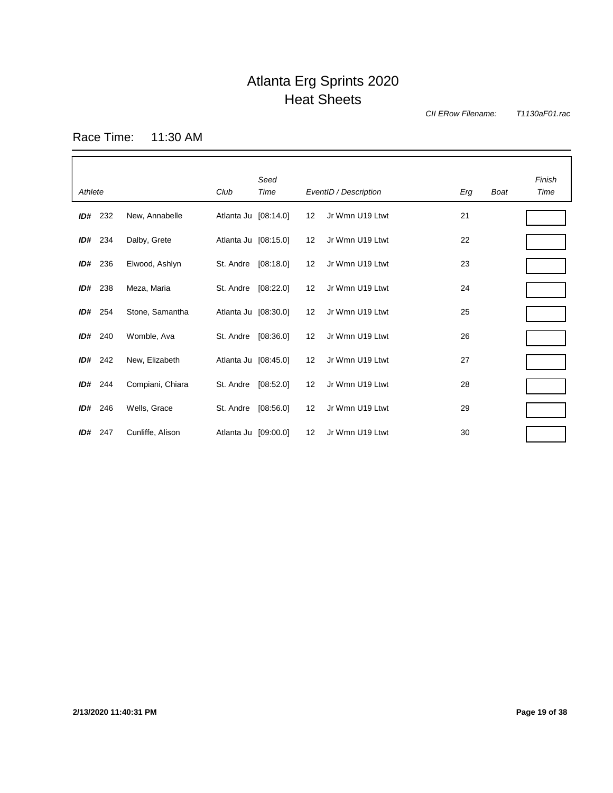*CII ERow Filename:*

*T1130aF01.rac*

Race Time: 11:30 AM

| Athlete |     |                  | Club                 | Seed<br>Time |    | EventID / Description | Erg | Boat | Finish<br>Time |
|---------|-----|------------------|----------------------|--------------|----|-----------------------|-----|------|----------------|
| ID#     | 232 | New, Annabelle   | Atlanta Ju [08:14.0] |              | 12 | Jr Wmn U19 Ltwt       | 21  |      |                |
| ID#     | 234 | Dalby, Grete     | Atlanta Ju [08:15.0] |              | 12 | Jr Wmn U19 Ltwt       | 22  |      |                |
| ID#     | 236 | Elwood, Ashlyn   | St. Andre            | [08:18.0]    | 12 | Jr Wmn U19 Ltwt       | 23  |      |                |
| ID#     | 238 | Meza, Maria      | St. Andre            | [08:22.0]    | 12 | Jr Wmn U19 Ltwt       | 24  |      |                |
| ID#     | 254 | Stone, Samantha  | Atlanta Ju [08:30.0] |              | 12 | Jr Wmn U19 Ltwt       | 25  |      |                |
| ID#     | 240 | Womble, Ava      | St. Andre            | [08:36.0]    | 12 | Jr Wmn U19 Ltwt       | 26  |      |                |
| ID#     | 242 | New, Elizabeth   | Atlanta Ju [08:45.0] |              | 12 | Jr Wmn U19 Ltwt       | 27  |      |                |
| ID#     | 244 | Compiani, Chiara | St. Andre            | [08:52.0]    | 12 | Jr Wmn U19 Ltwt       | 28  |      |                |
| ID#     | 246 | Wells, Grace     | St. Andre            | [08:56.0]    | 12 | Jr Wmn U19 Ltwt       | 29  |      |                |
| ID#     | 247 | Cunliffe, Alison | Atlanta Ju [09:00.0] |              | 12 | Jr Wmn U19 Ltwt       | 30  |      |                |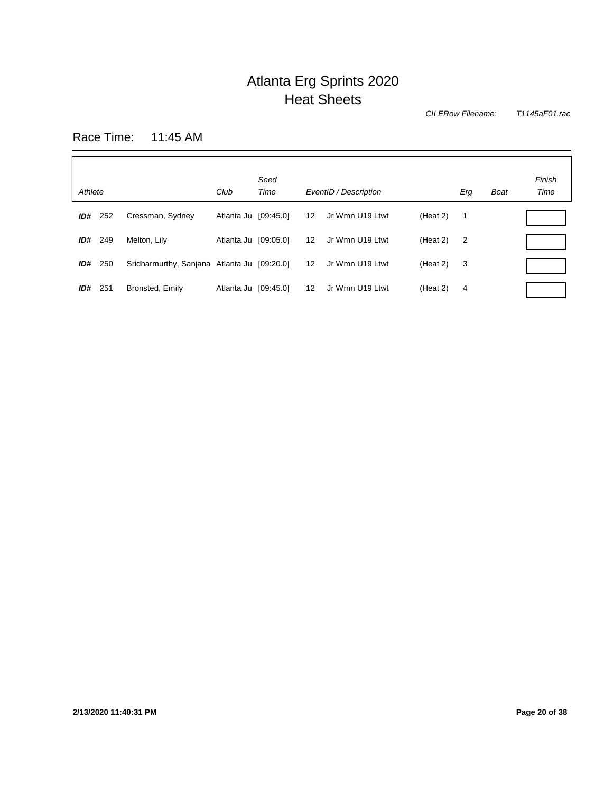*CII ERow Filename:*

*T1145aF01.rac*

Race Time: 11:45 AM

| Athlete |     |                                             | Club                 | Seed<br>Time |                   | EventID / Description |          | Erg            | Boat | Finish<br>Time |
|---------|-----|---------------------------------------------|----------------------|--------------|-------------------|-----------------------|----------|----------------|------|----------------|
| ID#     | 252 | Cressman, Sydney                            | Atlanta Ju [09:45.0] |              | 12                | Jr Wmn U19 Ltwt       | (Heat 2) | $\overline{1}$ |      |                |
| ID#     | 249 | Melton, Lilv                                | Atlanta Ju [09:05.0] |              | 12 <sup>°</sup>   | Jr Wmn U19 Ltwt       | (Heat 2) | $\overline{2}$ |      |                |
| ID#     | 250 | Sridharmurthy, Sanjana Atlanta Ju [09:20.0] |                      |              | $12 \overline{ }$ | Jr Wmn U19 Ltwt       | (Heat 2) | 3              |      |                |
| ID#     | 251 | Bronsted, Emily                             | Atlanta Ju [09:45.0] |              | 12                | Jr Wmn U19 Ltwt       | (Heat 2) | 4              |      |                |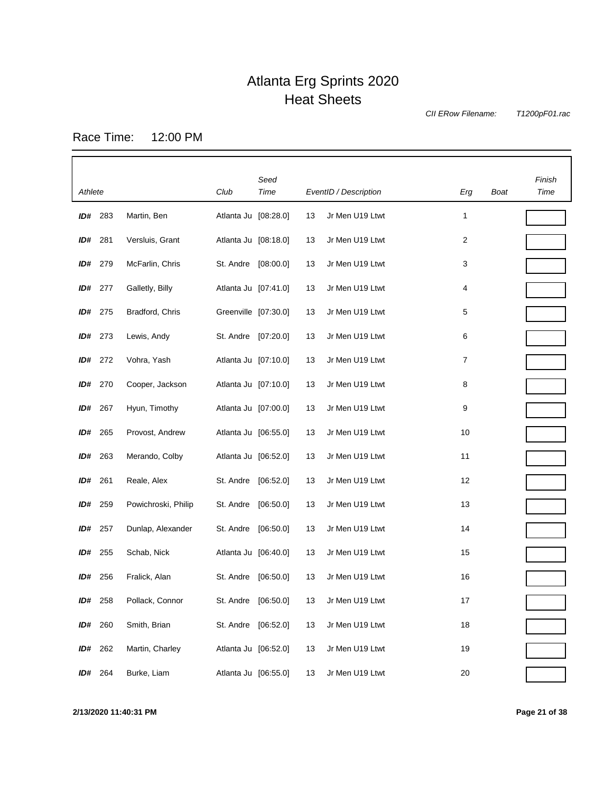*CII ERow Filename:*

*T1200pF01.rac*

Race Time: 12:00 PM

|         |         |                     |                      | Seed      |    |                       |     |      | Finish |
|---------|---------|---------------------|----------------------|-----------|----|-----------------------|-----|------|--------|
| Athlete |         |                     | Club                 | Time      |    | EventID / Description | Erg | Boat | Time   |
|         | ID# 283 | Martin, Ben         | Atlanta Ju [08:28.0] |           | 13 | Jr Men U19 Ltwt       | 1   |      |        |
| ID#     | 281     | Versluis, Grant     | Atlanta Ju [08:18.0] |           | 13 | Jr Men U19 Ltwt       | 2   |      |        |
| ID#     | 279     | McFarlin, Chris     | St. Andre            | [08:00.0] | 13 | Jr Men U19 Ltwt       | 3   |      |        |
| ID#     | 277     | Galletly, Billy     | Atlanta Ju [07:41.0] |           | 13 | Jr Men U19 Ltwt       | 4   |      |        |
| ID#     | 275     | Bradford, Chris     | Greenville [07:30.0] |           | 13 | Jr Men U19 Ltwt       | 5   |      |        |
| ID#     | 273     | Lewis, Andy         | St. Andre            | [07:20.0] | 13 | Jr Men U19 Ltwt       | 6   |      |        |
| ID#     | 272     | Vohra, Yash         | Atlanta Ju [07:10.0] |           | 13 | Jr Men U19 Ltwt       | 7   |      |        |
| ID#     | 270     | Cooper, Jackson     | Atlanta Ju [07:10.0] |           | 13 | Jr Men U19 Ltwt       | 8   |      |        |
| ID#     | 267     | Hyun, Timothy       | Atlanta Ju [07:00.0] |           | 13 | Jr Men U19 Ltwt       | 9   |      |        |
| ID#     | 265     | Provost, Andrew     | Atlanta Ju [06:55.0] |           | 13 | Jr Men U19 Ltwt       | 10  |      |        |
| ID#     | 263     | Merando, Colby      | Atlanta Ju [06:52.0] |           | 13 | Jr Men U19 Ltwt       | 11  |      |        |
| ID#     | 261     | Reale, Alex         | St. Andre            | [06:52.0] | 13 | Jr Men U19 Ltwt       | 12  |      |        |
| ID#     | 259     | Powichroski, Philip | St. Andre            | [06:50.0] | 13 | Jr Men U19 Ltwt       | 13  |      |        |
| ID#     | 257     | Dunlap, Alexander   | St. Andre            | [06:50.0] | 13 | Jr Men U19 Ltwt       | 14  |      |        |
| ID#     | 255     | Schab, Nick         | Atlanta Ju [06:40.0] |           | 13 | Jr Men U19 Ltwt       | 15  |      |        |
| ID#     | 256     | Fralick, Alan       | St. Andre            | [06:50.0] | 13 | Jr Men U19 Ltwt       | 16  |      |        |
| ID#     | 258     | Pollack, Connor     | St. Andre            | [06:50.0] | 13 | Jr Men U19 Ltwt       | 17  |      |        |
| ID#     | 260     | Smith, Brian        | St. Andre            | [06:52.0] | 13 | Jr Men U19 Ltwt       | 18  |      |        |
| ID#     | 262     | Martin, Charley     | Atlanta Ju [06:52.0] |           | 13 | Jr Men U19 Ltwt       | 19  |      |        |
| ID#     | 264     | Burke, Liam         | Atlanta Ju [06:55.0] |           | 13 | Jr Men U19 Ltwt       | 20  |      |        |

**2/13/2020 11:40:31 PM Page 21 of 38**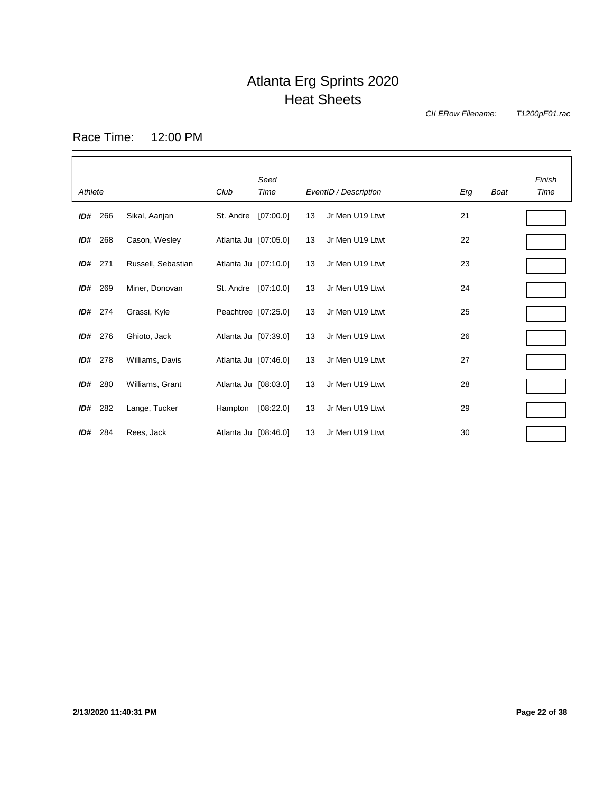*CII ERow Filename:*

*T1200pF01.rac*

Race Time: 12:00 PM

| Athlete |     |                    | Club                 | Seed<br>Time |    | EventID / Description | Erg | Boat | Finish<br>Time |
|---------|-----|--------------------|----------------------|--------------|----|-----------------------|-----|------|----------------|
| ID#     | 266 | Sikal, Aanjan      | St. Andre            | [07:00.0]    | 13 | Jr Men U19 Ltwt       | 21  |      |                |
| ID#     | 268 | Cason, Wesley      | Atlanta Ju [07:05.0] |              | 13 | Jr Men U19 Ltwt       | 22  |      |                |
| ID#     | 271 | Russell, Sebastian | Atlanta Ju [07:10.0] |              | 13 | Jr Men U19 Ltwt       | 23  |      |                |
| ID#     | 269 | Miner, Donovan     | St. Andre            | [07:10.0]    | 13 | Jr Men U19 Ltwt       | 24  |      |                |
| ID#     | 274 | Grassi, Kyle       | Peachtree [07:25.0]  |              | 13 | Jr Men U19 Ltwt       | 25  |      |                |
| ID#     | 276 | Ghioto, Jack       | Atlanta Ju [07:39.0] |              | 13 | Jr Men U19 Ltwt       | 26  |      |                |
| ID#     | 278 | Williams, Davis    | Atlanta Ju [07:46.0] |              | 13 | Jr Men U19 Ltwt       | 27  |      |                |
| ID#     | 280 | Williams, Grant    | Atlanta Ju [08:03.0] |              | 13 | Jr Men U19 Ltwt       | 28  |      |                |
| ID#     | 282 | Lange, Tucker      | Hampton              | [08:22.0]    | 13 | Jr Men U19 Ltwt       | 29  |      |                |
| ID#     | 284 | Rees, Jack         | Atlanta Ju [08:46.0] |              | 13 | Jr Men U19 Ltwt       | 30  |      |                |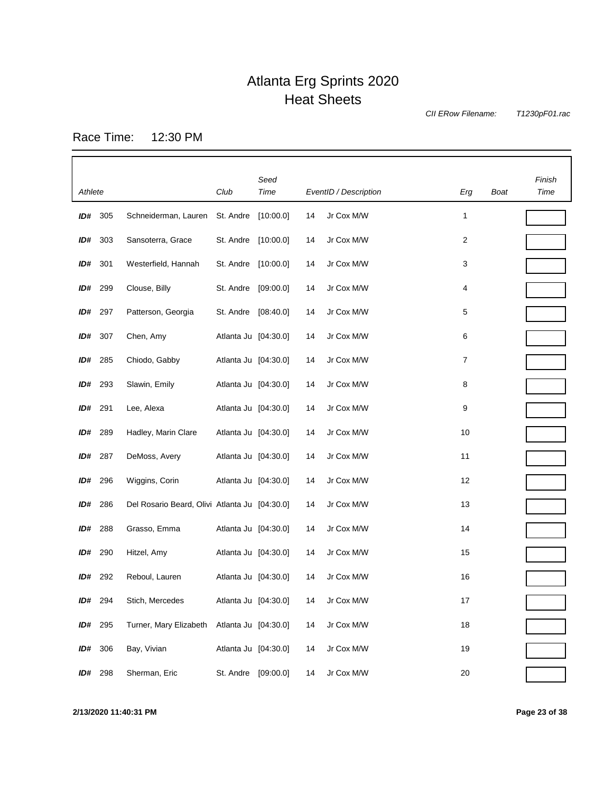*CII ERow Filename:*

*T1230pF01.rac*

Race Time: 12:30 PM

|         |                |                                               |                      | Seed      |    |                       |                |      | Finish |
|---------|----------------|-----------------------------------------------|----------------------|-----------|----|-----------------------|----------------|------|--------|
| Athlete |                |                                               | Club                 | Time      |    | EventID / Description | Erg            | Boat | Time   |
| ID#     | 305            | Schneiderman, Lauren                          | St. Andre            | [10:00.0] | 14 | Jr Cox M/W            | 1              |      |        |
| ID#     | 303            | Sansoterra, Grace                             | St. Andre            | [10:00.0] | 14 | Jr Cox M/W            | $\overline{2}$ |      |        |
| ID#     | 301            | Westerfield, Hannah                           | St. Andre            | [10:00.0] | 14 | Jr Cox M/W            | 3              |      |        |
| ID#     | 299            | Clouse, Billy                                 | St. Andre            | [09:00.0] | 14 | Jr Cox M/W            | 4              |      |        |
| ID#     | 297            | Patterson, Georgia                            | St. Andre            | [08:40.0] | 14 | Jr Cox M/W            | 5              |      |        |
| ID#     | 307            | Chen, Amy                                     | Atlanta Ju [04:30.0] |           | 14 | Jr Cox M/W            | 6              |      |        |
| ID#     | 285            | Chiodo, Gabby                                 | Atlanta Ju [04:30.0] |           | 14 | Jr Cox M/W            | 7              |      |        |
| ID#     | 293            | Slawin, Emily                                 | Atlanta Ju [04:30.0] |           | 14 | Jr Cox M/W            | 8              |      |        |
| ID#     | 291            | Lee, Alexa                                    | Atlanta Ju [04:30.0] |           | 14 | Jr Cox M/W            | 9              |      |        |
| ID#     | 289            | Hadley, Marin Clare                           | Atlanta Ju [04:30.0] |           | 14 | Jr Cox M/W            | 10             |      |        |
|         | <b>ID#</b> 287 | DeMoss, Avery                                 | Atlanta Ju [04:30.0] |           | 14 | Jr Cox M/W            | 11             |      |        |
| ID#     | 296            | Wiggins, Corin                                | Atlanta Ju [04:30.0] |           | 14 | Jr Cox M/W            | 12             |      |        |
| ID#     | 286            | Del Rosario Beard, Olivi Atlanta Ju [04:30.0] |                      |           | 14 | Jr Cox M/W            | 13             |      |        |
| ID#     | 288            | Grasso, Emma                                  | Atlanta Ju [04:30.0] |           | 14 | Jr Cox M/W            | 14             |      |        |
| ID#     | 290            | Hitzel, Amy                                   | Atlanta Ju [04:30.0] |           | 14 | Jr Cox M/W            | 15             |      |        |
| ID#     | 292            | Reboul, Lauren                                | Atlanta Ju [04:30.0] |           | 14 | Jr Cox M/W            | 16             |      |        |
| ID#     | 294            | Stich, Mercedes                               | Atlanta Ju [04:30.0] |           | 14 | Jr Cox M/W            | 17             |      |        |
| ID#     | 295            | Turner, Mary Elizabeth Atlanta Ju [04:30.0]   |                      |           | 14 | Jr Cox M/W            | 18             |      |        |
| ID#     | 306            | Bay, Vivian                                   | Atlanta Ju [04:30.0] |           | 14 | Jr Cox M/W            | 19             |      |        |
| ID#     | 298            | Sherman, Eric                                 | St. Andre [09:00.0]  |           | 14 | Jr Cox M/W            | 20             |      |        |

**2/13/2020 11:40:31 PM Page 23 of 38**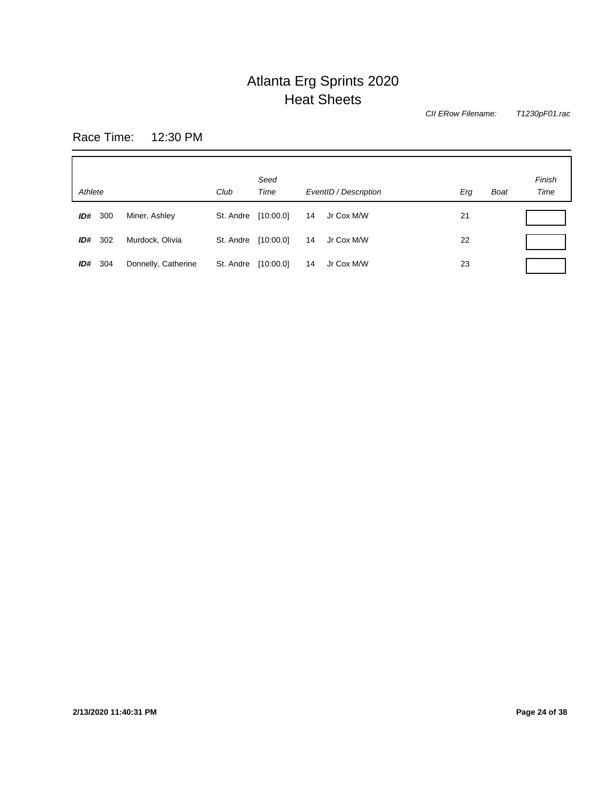*T1230pF01.rac CII ERow Filename:*

Race Time: 12:30 PM

| Athlete    |                     | Club      | Seed<br>Time | EventID / Description | <b>Boat</b><br>Erg | Finish<br>Time |
|------------|---------------------|-----------|--------------|-----------------------|--------------------|----------------|
| ID#<br>300 | Miner, Ashley       | St. Andre | [10:00.0]    | Jr Cox M/W<br>14      | 21                 |                |
| 302<br>ID# | Murdock, Olivia     | St. Andre | [10:00.0]    | 14<br>Jr Cox M/W      | 22                 |                |
| ID#<br>304 | Donnelly, Catherine | St. Andre | [10:00.0]    | 14<br>Jr Cox M/W      | 23                 |                |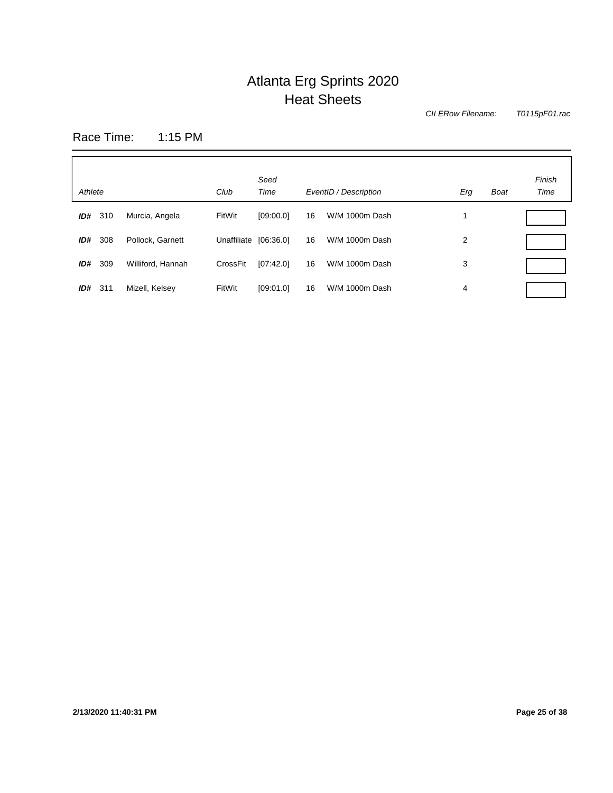*CII ERow Filename:*

*T0115pF01.rac*

Race Time: 1:15 PM

| Athlete |     |                   | Club                  | Seed<br>Time |    | EventID / Description | Erg | <b>Boat</b> | Finish<br>Time |
|---------|-----|-------------------|-----------------------|--------------|----|-----------------------|-----|-------------|----------------|
| ID#     | 310 | Murcia, Angela    | FitWit                | [09:00.0]    | 16 | W/M 1000m Dash        | и   |             |                |
| ID#     | 308 | Pollock, Garnett  | Unaffiliate [06:36.0] |              | 16 | W/M 1000m Dash        | 2   |             |                |
| ID#     | 309 | Williford, Hannah | CrossFit              | [07:42.0]    | 16 | W/M 1000m Dash        | 3   |             |                |
| ID#     | 311 | Mizell, Kelsey    | FitWit                | [09:01.0]    | 16 | W/M 1000m Dash        | 4   |             |                |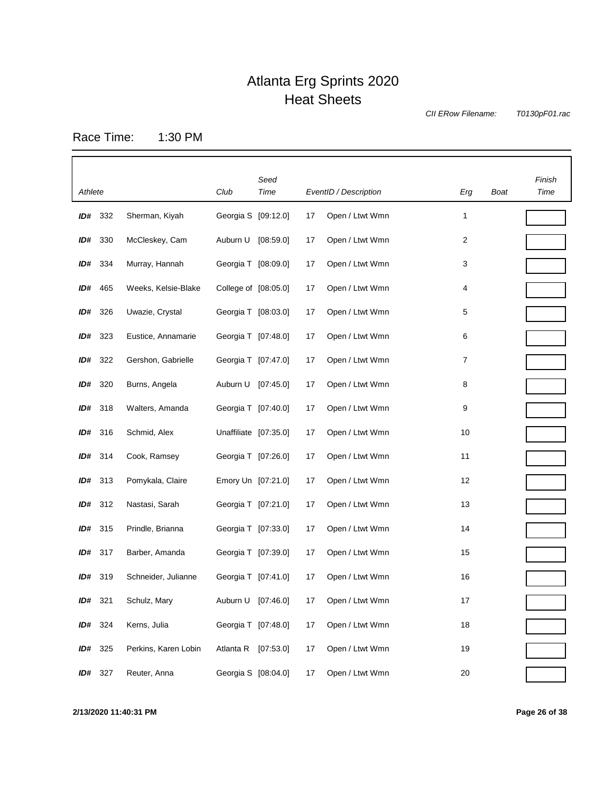*CII ERow Filename:*

*T0130pF01.rac*

Race Time: 1:30 PM

| Athlete |     |                      | Club                  | Seed<br>Time |    | EventID / Description | Erg | Boat | Finish<br>Time |
|---------|-----|----------------------|-----------------------|--------------|----|-----------------------|-----|------|----------------|
| ID#     | 332 | Sherman, Kiyah       | Georgia S [09:12.0]   |              | 17 | Open / Ltwt Wmn       | 1   |      |                |
| ID#     | 330 | McCleskey, Cam       | Auburn U [08:59.0]    |              | 17 | Open / Ltwt Wmn       | 2   |      |                |
|         |     |                      |                       |              |    |                       |     |      |                |
| ID#     | 334 | Murray, Hannah       | Georgia T [08:09.0]   |              | 17 | Open / Ltwt Wmn       | 3   |      |                |
| ID#     | 465 | Weeks, Kelsie-Blake  | College of [08:05.0]  |              | 17 | Open / Ltwt Wmn       | 4   |      |                |
| ID#     | 326 | Uwazie, Crystal      | Georgia T [08:03.0]   |              | 17 | Open / Ltwt Wmn       | 5   |      |                |
| ID#     | 323 | Eustice, Annamarie   | Georgia T [07:48.0]   |              | 17 | Open / Ltwt Wmn       | 6   |      |                |
| ID#     | 322 | Gershon, Gabrielle   | Georgia T [07:47.0]   |              | 17 | Open / Ltwt Wmn       | 7   |      |                |
| ID#     | 320 | Burns, Angela        | Auburn U              | [07:45.0]    | 17 | Open / Ltwt Wmn       | 8   |      |                |
| ID#     | 318 | Walters, Amanda      | Georgia T [07:40.0]   |              | 17 | Open / Ltwt Wmn       | 9   |      |                |
| ID#     | 316 | Schmid, Alex         | Unaffiliate [07:35.0] |              | 17 | Open / Ltwt Wmn       | 10  |      |                |
| ID#     | 314 | Cook, Ramsey         | Georgia T [07:26.0]   |              | 17 | Open / Ltwt Wmn       | 11  |      |                |
| ID#     | 313 | Pomykala, Claire     | Emory Un [07:21.0]    |              | 17 | Open / Ltwt Wmn       | 12  |      |                |
| ID#     | 312 | Nastasi, Sarah       | Georgia T [07:21.0]   |              | 17 | Open / Ltwt Wmn       | 13  |      |                |
| ID#     | 315 | Prindle, Brianna     | Georgia T [07:33.0]   |              | 17 | Open / Ltwt Wmn       | 14  |      |                |
| ID#     | 317 | Barber, Amanda       | Georgia T [07:39.0]   |              | 17 | Open / Ltwt Wmn       | 15  |      |                |
| ID#     | 319 | Schneider, Julianne  | Georgia T [07:41.0]   |              | 17 | Open / Ltwt Wmn       | 16  |      |                |
| ID#     | 321 | Schulz, Mary         | Auburn U              | [07:46.0]    | 17 | Open / Ltwt Wmn       | 17  |      |                |
| ID#     | 324 | Kerns, Julia         | Georgia T [07:48.0]   |              | 17 | Open / Ltwt Wmn       | 18  |      |                |
| ID#     | 325 | Perkins, Karen Lobin | Atlanta R [07:53.0]   |              | 17 | Open / Ltwt Wmn       | 19  |      |                |
| ID#     | 327 | Reuter, Anna         | Georgia S [08:04.0]   |              | 17 | Open / Ltwt Wmn       | 20  |      |                |

**2/13/2020 11:40:31 PM Page 26 of 38**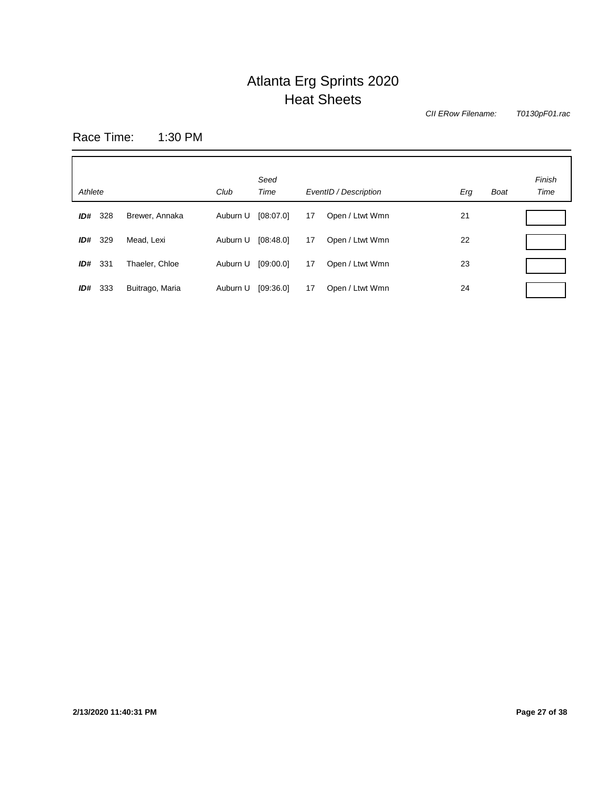*CII ERow Filename:*

*T0130pF01.rac*

Race Time: 1:30 PM

| Athlete    |                 | Club     | Seed<br>Time |    | EventID / Description | Erg | <b>Boat</b> | Finish<br>Time |
|------------|-----------------|----------|--------------|----|-----------------------|-----|-------------|----------------|
| 328<br>ID# | Brewer, Annaka  | Auburn U | [08:07.0]    | 17 | Open / Ltwt Wmn       | 21  |             |                |
| 329<br>ID# | Mead, Lexi      | Auburn U | [08:48.0]    | 17 | Open / Ltwt Wmn       | 22  |             |                |
| ID#<br>331 | Thaeler, Chloe  | Auburn U | [09:00.0]    | 17 | Open / Ltwt Wmn       | 23  |             |                |
| ID#<br>333 | Buitrago, Maria | Auburn U | [09:36.0]    | 17 | Open / Ltwt Wmn       | 24  |             |                |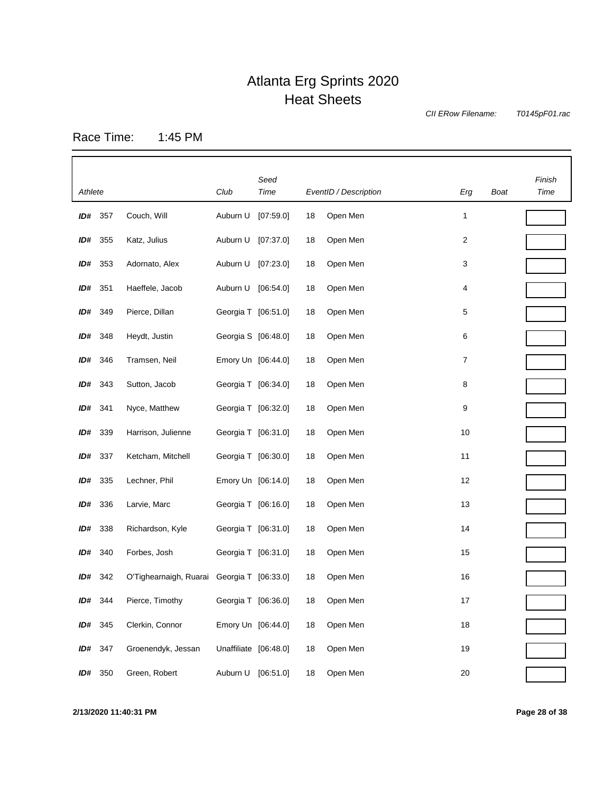*CII ERow Filename:*

*T0145pF01.rac*

Race Time: 1:45 PM

|         |         |                                            |                       | Seed      |    |                       |        |      | Finish |
|---------|---------|--------------------------------------------|-----------------------|-----------|----|-----------------------|--------|------|--------|
| Athlete |         |                                            | Club                  | Time      |    | EventID / Description | Erg    | Boat | Time   |
| ID#     | 357     | Couch, Will                                | Auburn U              | [07:59.0] | 18 | Open Men              | 1      |      |        |
| ID#     | 355     | Katz, Julius                               | Auburn U              | [07:37.0] | 18 | Open Men              | 2      |      |        |
| ID#     | 353     | Adornato, Alex                             | Auburn U              | [07:23.0] | 18 | Open Men              | 3      |      |        |
| ID#     | 351     | Haeffele, Jacob                            | Auburn U              | [06:54.0] | 18 | Open Men              | 4      |      |        |
| ID#     | 349     | Pierce, Dillan                             | Georgia T [06:51.0]   |           | 18 | Open Men              | 5      |      |        |
| ID#     | 348     | Heydt, Justin                              | Georgia S [06:48.0]   |           | 18 | Open Men              | 6      |      |        |
|         | ID# 346 | Tramsen, Neil                              | Emory Un [06:44.0]    |           | 18 | Open Men              | 7      |      |        |
| ID#     | 343     | Sutton, Jacob                              | Georgia T [06:34.0]   |           | 18 | Open Men              | 8      |      |        |
| ID#     | 341     | Nyce, Matthew                              | Georgia T [06:32.0]   |           | 18 | Open Men              | 9      |      |        |
| ID#     | 339     | Harrison, Julienne                         | Georgia T [06:31.0]   |           | 18 | Open Men              | 10     |      |        |
| ID#     | 337     | Ketcham, Mitchell                          | Georgia T [06:30.0]   |           | 18 | Open Men              | 11     |      |        |
| ID#     | 335     | Lechner, Phil                              | Emory Un [06:14.0]    |           | 18 | Open Men              | 12     |      |        |
| ID#     | 336     | Larvie, Marc                               | Georgia T [06:16.0]   |           | 18 | Open Men              | 13     |      |        |
| ID#     | 338     | Richardson, Kyle                           | Georgia T [06:31.0]   |           | 18 | Open Men              | 14     |      |        |
| ID#     | 340     | Forbes, Josh                               | Georgia T [06:31.0]   |           | 18 | Open Men              | 15     |      |        |
|         | ID# 342 | O'Tighearnaigh, Ruarai Georgia T [06:33.0] |                       |           | 18 | Open Men              | 16     |      |        |
| ID#     | 344     | Pierce, Timothy                            | Georgia T [06:36.0]   |           | 18 | Open Men              | 17     |      |        |
| ID#     | 345     | Clerkin, Connor                            | Emory Un [06:44.0]    |           | 18 | Open Men              | 18     |      |        |
| ID#     | 347     | Groenendyk, Jessan                         | Unaffiliate [06:48.0] |           | 18 | Open Men              | 19     |      |        |
| ID#     | 350     | Green, Robert                              | Auburn U              | [06:51.0] | 18 | Open Men              | $20\,$ |      |        |

**2/13/2020 11:40:31 PM Page 28 of 38**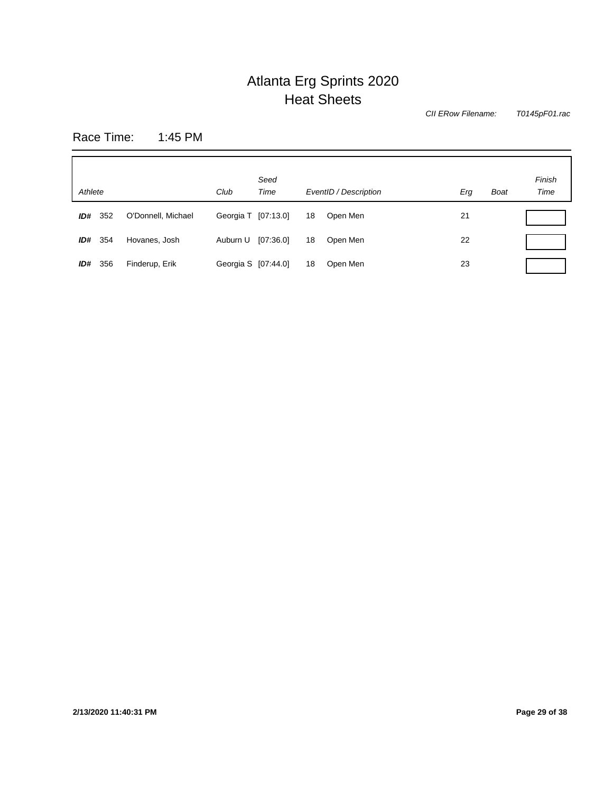*CII ERow Filename:*

*T0145pF01.rac*

Race Time: 1:45 PM

| Athlete     |                    | Club                | Seed<br>Time |    | EventID / Description | Erg | <b>Boat</b> | Finish<br>Time |
|-------------|--------------------|---------------------|--------------|----|-----------------------|-----|-------------|----------------|
| 352<br>ID#  | O'Donnell, Michael | Georgia T [07:13.0] |              | 18 | Open Men              | 21  |             |                |
| -354<br>ID# | Hovanes, Josh      | Auburn U            | [07:36.0]    | 18 | Open Men              | 22  |             |                |
| ID#<br>356  | Finderup, Erik     | Georgia S [07:44.0] |              | 18 | Open Men              | 23  |             |                |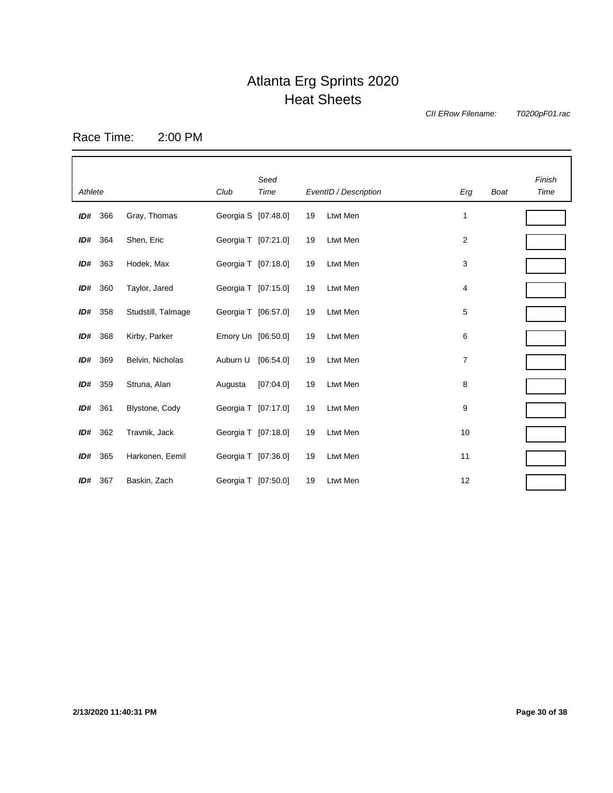*CII ERow Filename:*

*T0200pF01.rac*

Race Time: 2:00 PM

| Athlete |     |                    | Club                | Seed<br>Time |    | EventID / Description | Erg            | <b>Boat</b> | Finish<br>Time |
|---------|-----|--------------------|---------------------|--------------|----|-----------------------|----------------|-------------|----------------|
| ID#     | 366 | Gray, Thomas       | Georgia S [07:48.0] |              | 19 | Ltwt Men              | 1              |             |                |
| ID#     | 364 | Shen, Eric         | Georgia T [07:21.0] |              | 19 | Ltwt Men              | $\overline{2}$ |             |                |
| ID#     | 363 | Hodek, Max         | Georgia T [07:18.0] |              | 19 | Ltwt Men              | 3              |             |                |
| ID#     | 360 | Taylor, Jared      | Georgia T [07:15.0] |              | 19 | Ltwt Men              | 4              |             |                |
| ID#     | 358 | Studstill, Talmage | Georgia T [06:57.0] |              | 19 | Ltwt Men              | 5              |             |                |
| ID#     | 368 | Kirby, Parker      | Emory Un [06:50.0]  |              | 19 | Ltwt Men              | 6              |             |                |
| ID#     | 369 | Belvin, Nicholas   | Auburn U            | [06:54.0]    | 19 | Ltwt Men              | 7              |             |                |
| ID#     | 359 | Struna, Alan       | Augusta             | [07:04.0]    | 19 | Ltwt Men              | 8              |             |                |
| ID#     | 361 | Blystone, Cody     | Georgia T [07:17.0] |              | 19 | Ltwt Men              | 9              |             |                |
| ID#     | 362 | Travnik, Jack      | Georgia T [07:18.0] |              | 19 | Ltwt Men              | 10             |             |                |
| ID#     | 365 | Harkonen, Eemil    | Georgia T [07:36.0] |              | 19 | Ltwt Men              | 11             |             |                |
| ID#     | 367 | Baskin, Zach       | Georgia T [07:50.0] |              | 19 | Ltwt Men              | 12             |             |                |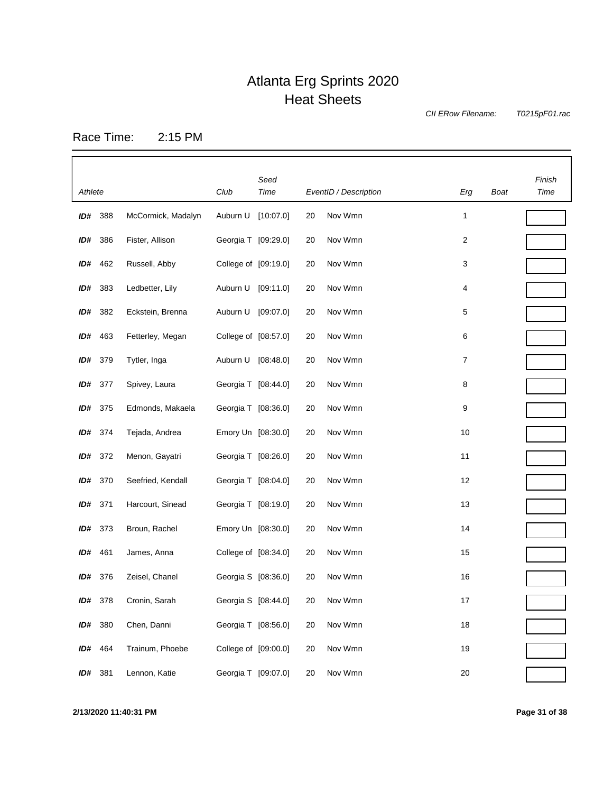*CII ERow Filename:*

*T0215pF01.rac*

Race Time: 2:15 PM

|         |                |                    |                      | Seed      |    |                       |        |             | Finish |
|---------|----------------|--------------------|----------------------|-----------|----|-----------------------|--------|-------------|--------|
| Athlete |                |                    | Club                 | Time      |    | EventID / Description | Erg    | <b>Boat</b> | Time   |
| ID#     | 388            | McCormick, Madalyn | Auburn U             | [10:07.0] | 20 | Nov Wmn               | 1      |             |        |
| ID#     | 386            | Fister, Allison    | Georgia T [09:29.0]  |           | 20 | Nov Wmn               | 2      |             |        |
| ID#     | 462            | Russell, Abby      | College of [09:19.0] |           | 20 | Nov Wmn               | 3      |             |        |
| ID#     | 383            | Ledbetter, Lily    | Auburn U [09:11.0]   |           | 20 | Nov Wmn               | 4      |             |        |
| ID#     | 382            | Eckstein, Brenna   | Auburn U             | [09:07.0] | 20 | Nov Wmn               | 5      |             |        |
|         | ID# 463        | Fetterley, Megan   | College of [08:57.0] |           | 20 | Nov Wmn               | 6      |             |        |
| ID#     | 379            | Tytler, Inga       | Auburn U [08:48.0]   |           | 20 | Nov Wmn               | 7      |             |        |
| ID#     | 377            | Spivey, Laura      | Georgia T [08:44.0]  |           | 20 | Nov Wmn               | 8      |             |        |
|         | <b>ID#</b> 375 | Edmonds, Makaela   | Georgia T [08:36.0]  |           | 20 | Nov Wmn               | 9      |             |        |
| ID#     | 374            | Tejada, Andrea     | Emory Un [08:30.0]   |           | 20 | Nov Wmn               | 10     |             |        |
| ID#     | 372            | Menon, Gayatri     | Georgia T [08:26.0]  |           | 20 | Nov Wmn               | 11     |             |        |
| ID#     | 370            | Seefried, Kendall  | Georgia T [08:04.0]  |           | 20 | Nov Wmn               | 12     |             |        |
| ID# 371 |                | Harcourt, Sinead   | Georgia T [08:19.0]  |           | 20 | Nov Wmn               | 13     |             |        |
|         | ID# 373        | Broun, Rachel      | Emory Un [08:30.0]   |           | 20 | Nov Wmn               | 14     |             |        |
| ID#     | 461            | James, Anna        | College of [08:34.0] |           | 20 | Nov Wmn               | 15     |             |        |
|         | <b>ID#</b> 376 | Zeisel, Chanel     | Georgia S [08:36.0]  |           | 20 | Nov Wmn               | 16     |             |        |
| ID#     | 378            | Cronin, Sarah      | Georgia S [08:44.0]  |           | 20 | Nov Wmn               | 17     |             |        |
| ID#     | 380            | Chen, Danni        | Georgia T [08:56.0]  |           | 20 | Nov Wmn               | 18     |             |        |
| ID#     | 464            | Trainum, Phoebe    | College of [09:00.0] |           | 20 | Nov Wmn               | 19     |             |        |
| ID#     | 381            | Lennon, Katie      | Georgia T [09:07.0]  |           | 20 | Nov Wmn               | $20\,$ |             |        |

**2/13/2020 11:40:31 PM Page 31 of 38**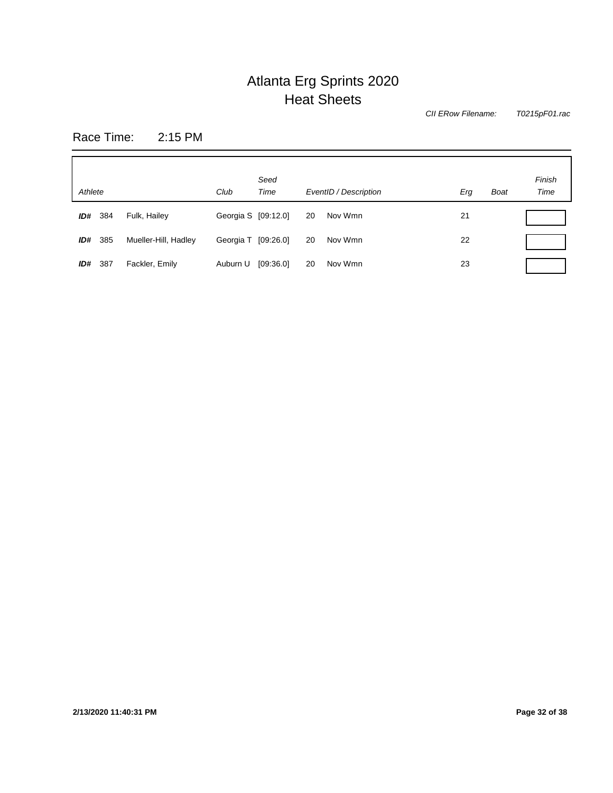*T0215pF01.rac CII ERow Filename:*

Race Time: 2:15 PM

| Athlete    |                      | Club                | Seed<br>Time |    | EventID / Description | Erg | <b>Boat</b> | Finish<br>Time |
|------------|----------------------|---------------------|--------------|----|-----------------------|-----|-------------|----------------|
| ID#<br>384 | Fulk, Hailey         | Georgia S [09:12.0] |              | 20 | Nov Wmn               | 21  |             |                |
| ID# 385    | Mueller-Hill, Hadley | Georgia T [09:26.0] |              | 20 | Nov Wmn               | 22  |             |                |
| ID#<br>387 | Fackler, Emily       | Auburn U            | [09:36.0]    | 20 | Nov Wmn               | 23  |             |                |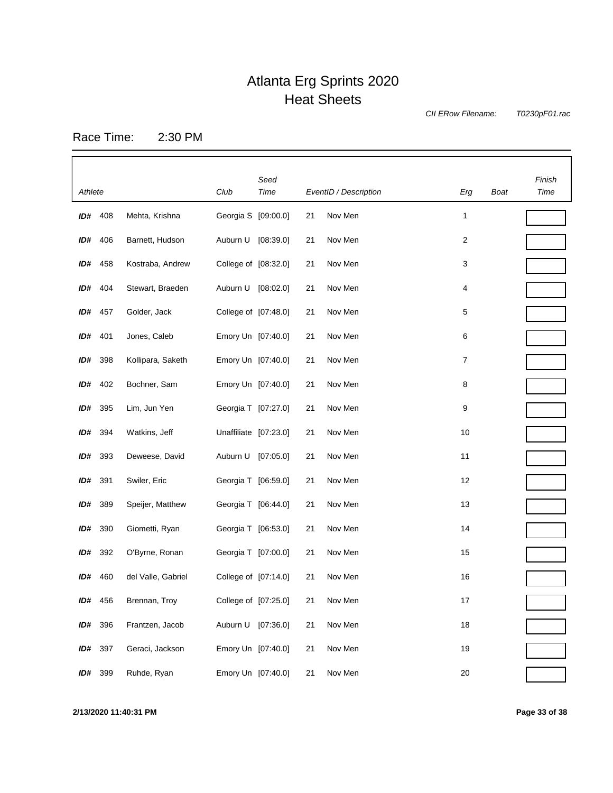*CII ERow Filename:*

*T0230pF01.rac*

Race Time: 2:30 PM

|         |                |                    |                       | Seed      |    |                       |        |      | Finish |
|---------|----------------|--------------------|-----------------------|-----------|----|-----------------------|--------|------|--------|
| Athlete |                |                    | Club                  | Time      |    | EventID / Description | Erg    | Boat | Time   |
|         | ID# 408        | Mehta, Krishna     | Georgia S [09:00.0]   |           | 21 | Nov Men               | 1      |      |        |
|         | <b>ID#</b> 406 | Barnett, Hudson    | Auburn U              | [08:39.0] | 21 | Nov Men               | 2      |      |        |
|         | <b>ID#</b> 458 | Kostraba, Andrew   | College of [08:32.0]  |           | 21 | Nov Men               | 3      |      |        |
|         | ID# 404        | Stewart, Braeden   | Auburn U              | [08:02.0] | 21 | Nov Men               | 4      |      |        |
|         | <b>ID#</b> 457 | Golder, Jack       | College of [07:48.0]  |           | 21 | Nov Men               | 5      |      |        |
| ID#     | 401            | Jones, Caleb       | Emory Un [07:40.0]    |           | 21 | Nov Men               | 6      |      |        |
| ID#     | 398            | Kollipara, Saketh  | Emory Un [07:40.0]    |           | 21 | Nov Men               | 7      |      |        |
| ID#     | 402            | Bochner, Sam       | Emory Un [07:40.0]    |           | 21 | Nov Men               | 8      |      |        |
| ID#     | 395            | Lim, Jun Yen       | Georgia T [07:27.0]   |           | 21 | Nov Men               | 9      |      |        |
| ID#     | 394            | Watkins, Jeff      | Unaffiliate [07:23.0] |           | 21 | Nov Men               | 10     |      |        |
| ID#     | 393            | Deweese, David     | Auburn U              | [07:05.0] | 21 | Nov Men               | 11     |      |        |
| ID#     | 391            | Swiler, Eric       | Georgia T [06:59.0]   |           | 21 | Nov Men               | 12     |      |        |
| ID#     | 389            | Speijer, Matthew   | Georgia T [06:44.0]   |           | 21 | Nov Men               | 13     |      |        |
| ID#     | 390            | Giometti, Ryan     | Georgia T [06:53.0]   |           | 21 | Nov Men               | 14     |      |        |
| ID#     | 392            | O'Byrne, Ronan     | Georgia T [07:00.0]   |           | 21 | Nov Men               | 15     |      |        |
| ID#     | 460            | del Valle, Gabriel | College of [07:14.0]  |           | 21 | Nov Men               | 16     |      |        |
| ID#     | 456            | Brennan, Troy      | College of [07:25.0]  |           | 21 | Nov Men               | 17     |      |        |
| ID#     | 396            | Frantzen, Jacob    | Auburn U [07:36.0]    |           | 21 | Nov Men               | 18     |      |        |
| ID#     | 397            | Geraci, Jackson    | Emory Un [07:40.0]    |           | 21 | Nov Men               | 19     |      |        |
| ID#     | 399            | Ruhde, Ryan        | Emory Un [07:40.0]    |           | 21 | Nov Men               | $20\,$ |      |        |

**2/13/2020 11:40:31 PM Page 33 of 38**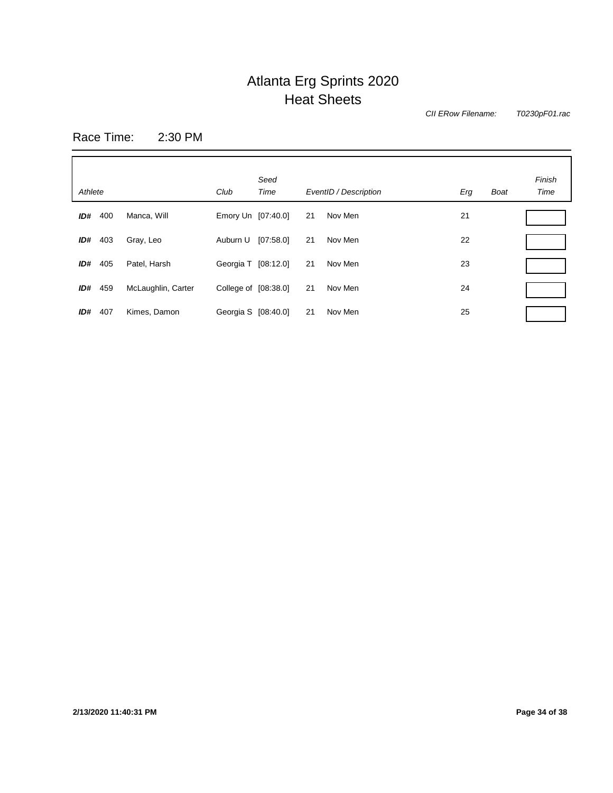*CII ERow Filename:*

*T0230pF01.rac*

Race Time: 2:30 PM

| Athlete    |                    | Club                 | Seed<br>Time    | EventID / Description | Erg | <b>Boat</b> | Finish<br>Time |
|------------|--------------------|----------------------|-----------------|-----------------------|-----|-------------|----------------|
| ID#<br>400 | Manca, Will        | Emory Un [07:40.0]   | 21              | Nov Men               | 21  |             |                |
| ID#<br>403 | Gray, Leo          | Auburn U             | [07:58.0]<br>21 | Nov Men               | 22  |             |                |
| ID#<br>405 | Patel, Harsh       | Georgia T [08:12.0]  | 21              | Nov Men               | 23  |             |                |
| 459<br>ID# | McLaughlin, Carter | College of [08:38.0] | 21              | Nov Men               | 24  |             |                |
| ID#<br>407 | Kimes, Damon       | Georgia S [08:40.0]  | 21              | Nov Men               | 25  |             |                |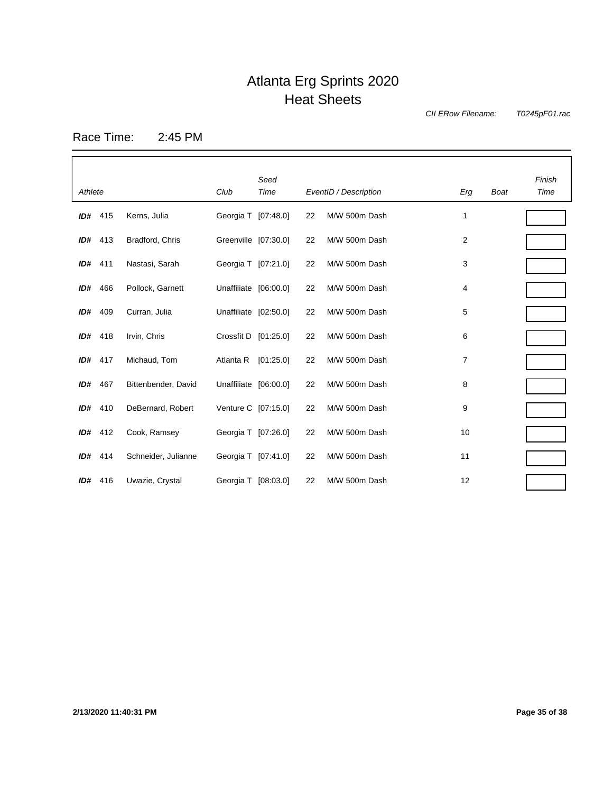*CII ERow Filename:*

*T0245pF01.rac*

Race Time: 2:45 PM

| Athlete |         |                     | Club                  | Seed<br>Time |    | EventID / Description | Erg | <b>Boat</b> | Finish<br>Time |
|---------|---------|---------------------|-----------------------|--------------|----|-----------------------|-----|-------------|----------------|
|         | ID# 415 | Kerns, Julia        | Georgia T [07:48.0]   |              | 22 | M/W 500m Dash         | 1   |             |                |
| ID#     | 413     | Bradford, Chris     | Greenville [07:30.0]  |              | 22 | M/W 500m Dash         | 2   |             |                |
|         | ID# 411 | Nastasi, Sarah      | Georgia T [07:21.0]   |              | 22 | M/W 500m Dash         | 3   |             |                |
| ID#     | 466     | Pollock, Garnett    | Unaffiliate [06:00.0] |              | 22 | M/W 500m Dash         | 4   |             |                |
| ID#     | 409     | Curran, Julia       | Unaffiliate [02:50.0] |              | 22 | M/W 500m Dash         | 5   |             |                |
|         | ID# 418 | Irvin, Chris        | Crossfit D [01:25.0]  |              | 22 | M/W 500m Dash         | 6   |             |                |
| ID#     | 417     | Michaud, Tom        | Atlanta R             | [01:25.0]    | 22 | M/W 500m Dash         | 7   |             |                |
| ID#     | 467     | Bittenbender, David | Unaffiliate [06:00.0] |              | 22 | M/W 500m Dash         | 8   |             |                |
| ID#     | 410     | DeBernard, Robert   | Venture C [07:15.0]   |              | 22 | M/W 500m Dash         | 9   |             |                |
|         | ID# 412 | Cook, Ramsey        | Georgia T [07:26.0]   |              | 22 | M/W 500m Dash         | 10  |             |                |
| ID#     | 414     | Schneider, Julianne | Georgia T [07:41.0]   |              | 22 | M/W 500m Dash         | 11  |             |                |
|         | ID# 416 | Uwazie, Crystal     | Georgia T [08:03.0]   |              | 22 | M/W 500m Dash         | 12  |             |                |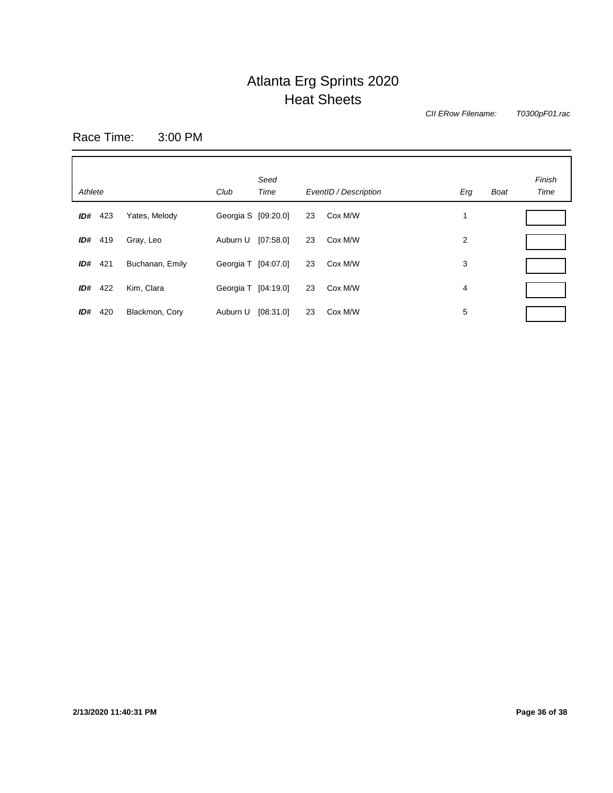*CII ERow Filename:*

*T0300pF01.rac*

Race Time: 3:00 PM

| Athlete |     |                 | Club                | Seed<br>Time |    | EventID / Description | Erg | <b>Boat</b> | Finish<br>Time |
|---------|-----|-----------------|---------------------|--------------|----|-----------------------|-----|-------------|----------------|
| ID#     | 423 | Yates, Melody   | Georgia S [09:20.0] |              | 23 | Cox M/W               |     |             |                |
| ID#     | 419 | Gray, Leo       | Auburn U [07:58.0]  |              | 23 | Cox M/W               | 2   |             |                |
| ID#     | 421 | Buchanan, Emily | Georgia T [04:07.0] |              | 23 | Cox M/W               | 3   |             |                |
| ID#     | 422 | Kim, Clara      | Georgia T [04:19.0] |              | 23 | Cox M/W               | 4   |             |                |
| ID#     | 420 | Blackmon, Cory  | Auburn U            | [08:31.0]    | 23 | Cox M/W               | 5   |             |                |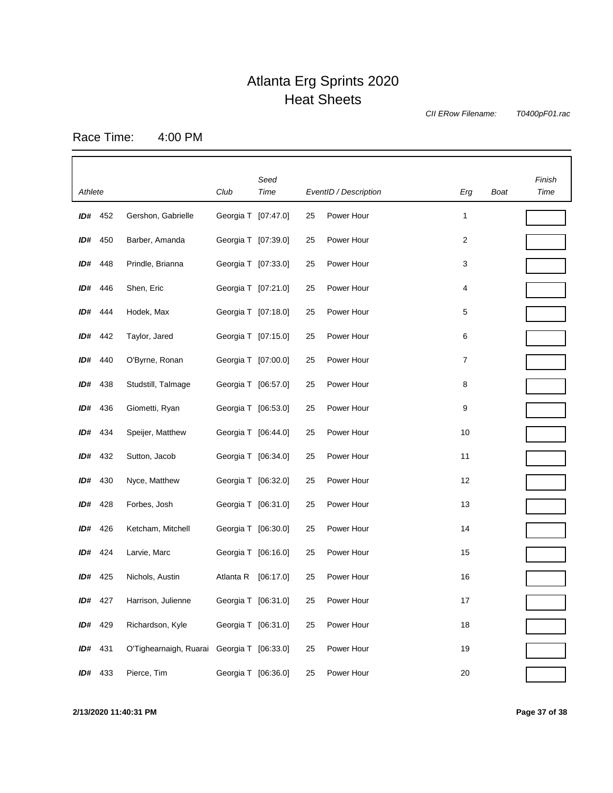*CII ERow Filename:*

*T0400pF01.rac*

Race Time: 4:00 PM

|         |           |                                            |                     | Seed      |                       |            |        |      | Finish |
|---------|-----------|--------------------------------------------|---------------------|-----------|-----------------------|------------|--------|------|--------|
| Athlete |           | Club                                       | Time                |           | EventID / Description | Erg        | Boat   | Time |        |
|         | $ID#$ 452 | Gershon, Gabrielle                         | Georgia T [07:47.0] |           | 25                    | Power Hour | 1      |      |        |
|         | ID# 450   | Barber, Amanda                             | Georgia T [07:39.0] |           | 25                    | Power Hour | 2      |      |        |
|         | ID# 448   | Prindle, Brianna                           | Georgia T [07:33.0] |           | 25                    | Power Hour | 3      |      |        |
|         | ID# 446   | Shen, Eric                                 | Georgia T [07:21.0] |           | 25                    | Power Hour | 4      |      |        |
|         | ID# 444   | Hodek, Max                                 | Georgia T [07:18.0] |           | 25                    | Power Hour | 5      |      |        |
| ID#     | 442       | Taylor, Jared                              | Georgia T [07:15.0] |           | 25                    | Power Hour | 6      |      |        |
| ID#     | 440       | O'Byrne, Ronan                             | Georgia T [07:00.0] |           | 25                    | Power Hour | 7      |      |        |
| ID#     | 438       | Studstill, Talmage                         | Georgia T [06:57.0] |           | 25                    | Power Hour | 8      |      |        |
| ID#     | 436       | Giometti, Ryan                             | Georgia T [06:53.0] |           | 25                    | Power Hour | 9      |      |        |
| ID#     | 434       | Speijer, Matthew                           | Georgia T [06:44.0] |           | 25                    | Power Hour | 10     |      |        |
| ID#     | 432       | Sutton, Jacob                              | Georgia T [06:34.0] |           | 25                    | Power Hour | 11     |      |        |
| ID#     | 430       | Nyce, Matthew                              | Georgia T [06:32.0] |           | 25                    | Power Hour | 12     |      |        |
| ID#     | 428       | Forbes, Josh                               | Georgia T [06:31.0] |           | 25                    | Power Hour | 13     |      |        |
| ID#     | 426       | Ketcham, Mitchell                          | Georgia T [06:30.0] |           | 25                    | Power Hour | 14     |      |        |
| ID#     | 424       | Larvie, Marc                               | Georgia T [06:16.0] |           | 25                    | Power Hour | 15     |      |        |
| ID#     | 425       | Nichols, Austin                            | Atlanta R           | [06:17.0] | 25                    | Power Hour | 16     |      |        |
| ID#     | 427       | Harrison, Julienne                         | Georgia T [06:31.0] |           | 25                    | Power Hour | 17     |      |        |
| ID#     | 429       | Richardson, Kyle                           | Georgia T [06:31.0] |           | 25                    | Power Hour | 18     |      |        |
| ID#     | 431       | O'Tighearnaigh, Ruarai Georgia T [06:33.0] |                     |           | 25                    | Power Hour | 19     |      |        |
|         | ID# 433   | Pierce, Tim                                | Georgia T [06:36.0] |           | 25                    | Power Hour | $20\,$ |      |        |

**2/13/2020 11:40:31 PM Page 37 of 38**